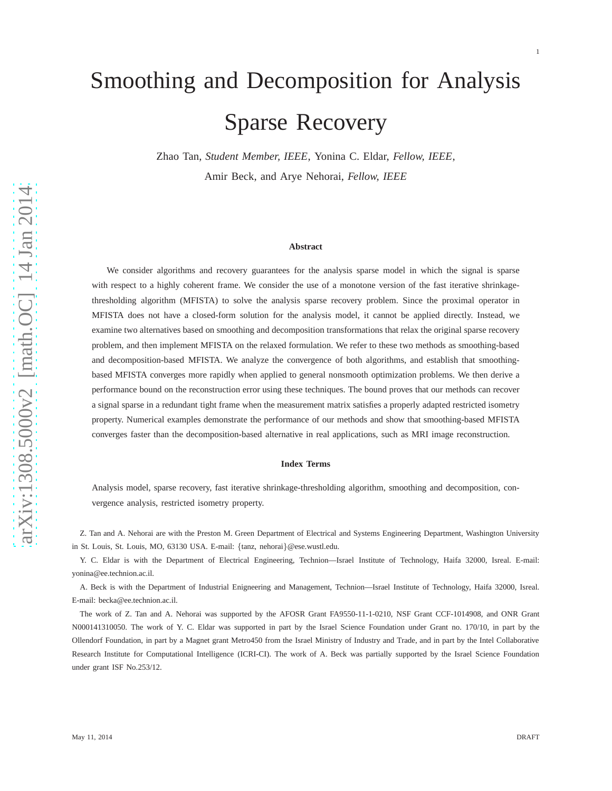# Smoothing and Decomposition for Analysis Sparse Recovery

Zhao Tan, *Student Member, IEEE*, Yonina C. Eldar, *Fellow, IEEE*, Amir Beck, and Arye Nehorai, *Fellow, IEEE*

#### **Abstract**

We consider algorithms and recovery guarantees for the analysis sparse model in which the signal is sparse with respect to a highly coherent frame. We consider the use of a monotone version of the fast iterative shrinkagethresholding algorithm (MFISTA) to solve the analysis sparse recovery problem. Since the proximal operator in MFISTA does not have a closed-form solution for the analysis model, it cannot be applied directly. Instead, we examine two alternatives based on smoothing and decomposition transformations that relax the original sparse recovery problem, and then implement MFISTA on the relaxed formulation. We refer to these two methods as smoothing-based and decomposition-based MFISTA. We analyze the convergence of both algorithms, and establish that smoothingbased MFISTA converges more rapidly when applied to general nonsmooth optimization problems. We then derive a performance bound on the reconstruction error using these techniques. The bound proves that our methods can recover a signal sparse in a redundant tight frame when the measurement matrix satisfies a properly adapted restricted isometry property. Numerical examples demonstrate the performance of our methods and show that smoothing-based MFISTA converges faster than the decomposition-based alternative in real applications, such as MRI image reconstruction.

#### **Index Terms**

Analysis model, sparse recovery, fast iterative shrinkage-thresholding algorithm, smoothing and decomposition, convergence analysis, restricted isometry property.

Z. Tan and A. Nehorai are with the Preston M. Green Department of Electrical and Systems Engineering Department, Washington University in St. Louis, St. Louis, MO, 63130 USA. E-mail: {tanz, nehorai}@ese.wustl.edu.

Y. C. Eldar is with the Department of Electrical Engineering, Technion—Israel Institute of Technology, Haifa 32000, Isreal. E-mail: yonina@ee.technion.ac.il.

A. Beck is with the Department of Industrial Enigneering and Management, Technion—Israel Institute of Technology, Haifa 32000, Isreal. E-mail: becka@ee.technion.ac.il.

The work of Z. Tan and A. Nehorai was supported by the AFOSR Grant FA9550-11-1-0210, NSF Grant CCF-1014908, and ONR Grant N000141310050. The work of Y. C. Eldar was supported in part by the Israel Science Foundation under Grant no. 170/10, in part by the Ollendorf Foundation, in part by a Magnet grant Metro450 from the Israel Ministry of Industry and Trade, and in part by the Intel Collaborative Research Institute for Computational Intelligence (ICRI-CI). The work of A. Beck was partially supported by the Israel Science Foundation under grant ISF No.253/12.

1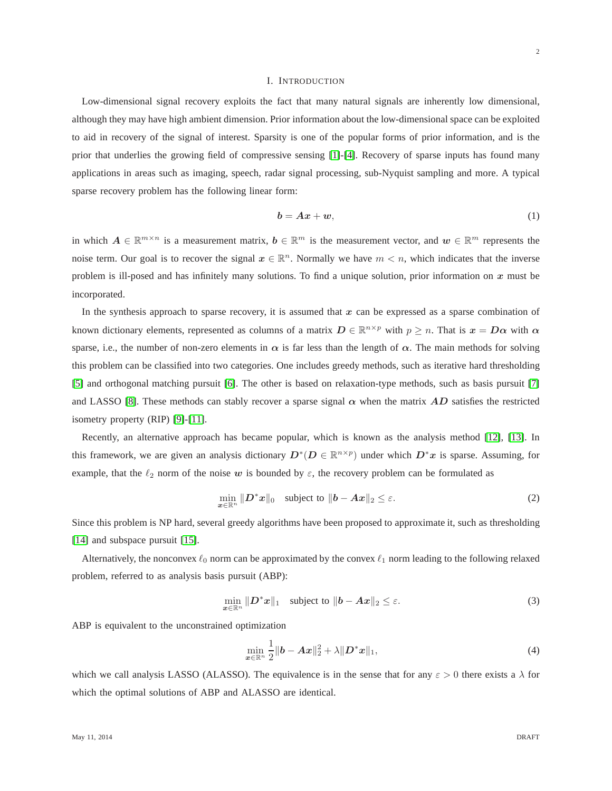#### I. INTRODUCTION

Low-dimensional signal recovery exploits the fact that many natural signals are inherently low dimensional, although they may have high ambient dimension. Prior information about the low-dimensional space can be exploited to aid in recovery of the signal of interest. Sparsity is one of the popular forms of prior information, and is the prior that underlies the growing field of compressive sensing [\[1\]](#page-24-0)-[\[4\]](#page-24-1). Recovery of sparse inputs has found many applications in areas such as imaging, speech, radar signal processing, sub-Nyquist sampling and more. A typical sparse recovery problem has the following linear form:

<span id="page-1-2"></span>
$$
b = Ax + w,\tag{1}
$$

in which  $A \in \mathbb{R}^{m \times n}$  is a measurement matrix,  $b \in \mathbb{R}^m$  is the measurement vector, and  $w \in \mathbb{R}^m$  represents the noise term. Our goal is to recover the signal  $x \in \mathbb{R}^n$ . Normally we have  $m < n$ , which indicates that the inverse problem is ill-posed and has infinitely many solutions. To find a unique solution, prior information on  $x$  must be incorporated.

In the synthesis approach to sparse recovery, it is assumed that  $x$  can be expressed as a sparse combination of known dictionary elements, represented as columns of a matrix  $D \in \mathbb{R}^{n \times p}$  with  $p \ge n$ . That is  $x = D\alpha$  with  $\alpha$ sparse, i.e., the number of non-zero elements in  $\alpha$  is far less than the length of  $\alpha$ . The main methods for solving this problem can be classified into two categories. One includes greedy methods, such as iterative hard thresholding [\[5\]](#page-24-2) and orthogonal matching pursuit [\[6\]](#page-24-3). The other is based on relaxation-type methods, such as basis pursuit [\[7\]](#page-24-4) and LASSO [\[8\]](#page-24-5). These methods can stably recover a sparse signal  $\alpha$  when the matrix AD satisfies the restricted isometry property (RIP) [\[9\]](#page-24-6)-[\[11\]](#page-24-7).

Recently, an alternative approach has became popular, which is known as the analysis method [\[12\]](#page-24-8), [\[13\]](#page-24-9). In this framework, we are given an analysis dictionary  $D^*(D \in \mathbb{R}^{n \times p})$  under which  $D^*x$  is sparse. Assuming, for example, that the  $\ell_2$  norm of the noise w is bounded by  $\varepsilon$ , the recovery problem can be formulated as

$$
\min_{\boldsymbol{x}\in\mathbb{R}^n} \|\boldsymbol{D}^*\boldsymbol{x}\|_0 \quad \text{subject to } \|\boldsymbol{b} - \boldsymbol{A}\boldsymbol{x}\|_2 \leq \varepsilon. \tag{2}
$$

Since this problem is NP hard, several greedy algorithms have been proposed to approximate it, such as thresholding [\[14\]](#page-24-10) and subspace pursuit [\[15\]](#page-24-11).

Alternatively, the nonconvex  $\ell_0$  norm can be approximated by the convex  $\ell_1$  norm leading to the following relaxed problem, referred to as analysis basis pursuit (ABP):

<span id="page-1-0"></span>
$$
\min_{\boldsymbol{x} \in \mathbb{R}^n} \|\boldsymbol{D}^*\boldsymbol{x}\|_1 \quad \text{subject to } \|\boldsymbol{b} - \boldsymbol{A}\boldsymbol{x}\|_2 \leq \varepsilon. \tag{3}
$$

ABP is equivalent to the unconstrained optimization

<span id="page-1-1"></span>
$$
\min_{\bm{x}\in\mathbb{R}^n} \frac{1}{2} \|\bm{b} - \bm{A}\bm{x}\|_2^2 + \lambda \|\bm{D}^*\bm{x}\|_1,\tag{4}
$$

which we call analysis LASSO (ALASSO). The equivalence is in the sense that for any  $\varepsilon > 0$  there exists a  $\lambda$  for which the optimal solutions of ABP and ALASSO are identical.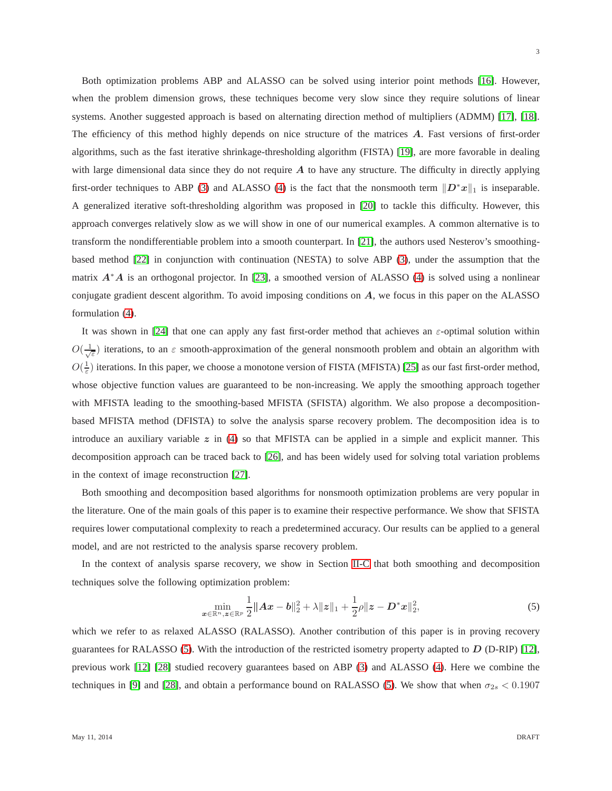3

Both optimization problems ABP and ALASSO can be solved using interior point methods [\[16\]](#page-25-0). However, when the problem dimension grows, these techniques become very slow since they require solutions of linear systems. Another suggested approach is based on alternating direction method of multipliers (ADMM) [\[17\]](#page-25-1), [\[18\]](#page-25-2). The efficiency of this method highly depends on nice structure of the matrices A. Fast versions of first-order algorithms, such as the fast iterative shrinkage-thresholding algorithm (FISTA) [\[19\]](#page-25-3), are more favorable in dealing with large dimensional data since they do not require A to have any structure. The difficulty in directly applying first-order techniques to ABP [\(3\)](#page-1-0) and ALASSO [\(4\)](#page-1-1) is the fact that the nonsmooth term  $||D^*x||_1$  is inseparable. A generalized iterative soft-thresholding algorithm was proposed in [\[20\]](#page-25-4) to tackle this difficulty. However, this approach converges relatively slow as we will show in one of our numerical examples. A common alternative is to transform the nondifferentiable problem into a smooth counterpart. In [\[21\]](#page-25-5), the authors used Nesterov's smoothingbased method [\[22\]](#page-25-6) in conjunction with continuation (NESTA) to solve ABP [\(3\)](#page-1-0), under the assumption that the matrix  $A^*A$  is an orthogonal projector. In [\[23\]](#page-25-7), a smoothed version of ALASSO [\(4\)](#page-1-1) is solved using a nonlinear conjugate gradient descent algorithm. To avoid imposing conditions on A, we focus in this paper on the ALASSO formulation [\(4\)](#page-1-1).

It was shown in [\[24\]](#page-25-8) that one can apply any fast first-order method that achieves an ε-optimal solution within  $O(\frac{1}{\sqrt{\epsilon}})$  iterations, to an  $\epsilon$  smooth-approximation of the general nonsmooth problem and obtain an algorithm with  $O(\frac{1}{\varepsilon})$  iterations. In this paper, we choose a monotone version of FISTA (MFISTA) [\[25\]](#page-25-9) as our fast first-order method, whose objective function values are guaranteed to be non-increasing. We apply the smoothing approach together with MFISTA leading to the smoothing-based MFISTA (SFISTA) algorithm. We also propose a decompositionbased MFISTA method (DFISTA) to solve the analysis sparse recovery problem. The decomposition idea is to introduce an auxiliary variable  $z$  in [\(4\)](#page-1-1) so that MFISTA can be applied in a simple and explicit manner. This decomposition approach can be traced back to [\[26\]](#page-25-10), and has been widely used for solving total variation problems in the context of image reconstruction [\[27\]](#page-25-11).

Both smoothing and decomposition based algorithms for nonsmooth optimization problems are very popular in the literature. One of the main goals of this paper is to examine their respective performance. We show that SFISTA requires lower computational complexity to reach a predetermined accuracy. Our results can be applied to a general model, and are not restricted to the analysis sparse recovery problem.

In the context of analysis sparse recovery, we show in Section [II-C](#page-6-0) that both smoothing and decomposition techniques solve the following optimization problem:

<span id="page-2-0"></span>
$$
\min_{\mathbf{z}\in\mathbb{R}^n,\mathbf{z}\in\mathbb{R}^p} \frac{1}{2} \|A\mathbf{x} - \mathbf{b}\|_2^2 + \lambda \|\mathbf{z}\|_1 + \frac{1}{2}\rho \|\mathbf{z} - \mathbf{D}^*\mathbf{x}\|_2^2,\tag{5}
$$

which we refer to as relaxed ALASSO (RALASSO). Another contribution of this paper is in proving recovery guarantees for RALASSO [\(5\)](#page-2-0). With the introduction of the restricted isometry property adapted to  $D$  (D-RIP) [\[12\]](#page-24-8), previous work [\[12\]](#page-24-8) [\[28\]](#page-25-12) studied recovery guarantees based on ABP [\(3\)](#page-1-0) and ALASSO [\(4\)](#page-1-1). Here we combine the techniques in [\[9\]](#page-24-6) and [\[28\]](#page-25-12), and obtain a performance bound on RALASSO [\(5\)](#page-2-0). We show that when  $\sigma_{2s}$  < 0.1907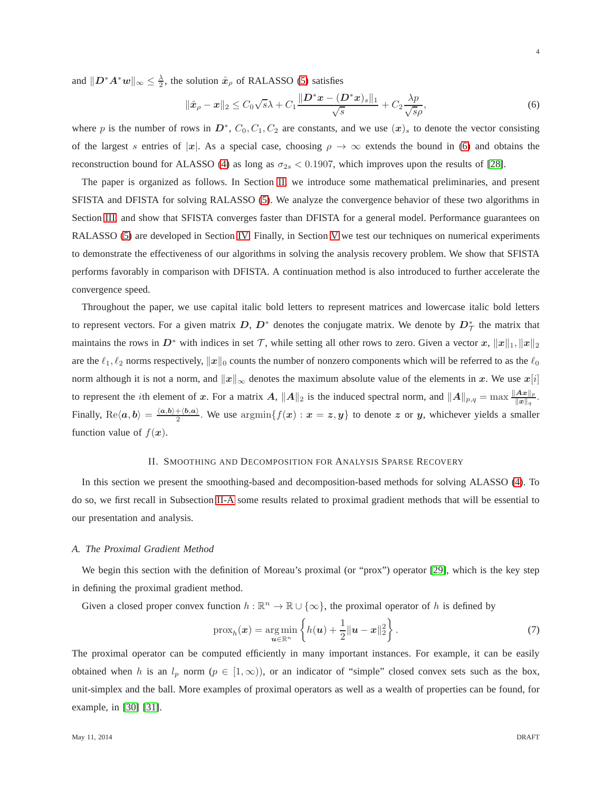and  $||D^*A^*w||_{\infty} \le \frac{\lambda}{2}$ , the solution  $\hat{x}_\rho$  of RALASSO [\(5\)](#page-2-0) satisfies

<span id="page-3-0"></span>
$$
\|\hat{\boldsymbol{x}}_{\rho} - \boldsymbol{x}\|_2 \le C_0 \sqrt{s} \lambda + C_1 \frac{\|\boldsymbol{D}^* \boldsymbol{x} - (\boldsymbol{D}^* \boldsymbol{x})_s\|_1}{\sqrt{s}} + C_2 \frac{\lambda p}{\sqrt{s}\rho},\tag{6}
$$

where p is the number of rows in  $D^*$ ,  $C_0$ ,  $C_1$ ,  $C_2$  are constants, and we use  $(x)_s$  to denote the vector consisting of the largest s entries of |x|. As a special case, choosing  $\rho \to \infty$  extends the bound in [\(6\)](#page-3-0) and obtains the reconstruction bound for ALASSO [\(4\)](#page-1-1) as long as  $\sigma_{2s} < 0.1907$ , which improves upon the results of [\[28\]](#page-25-12).

The paper is organized as follows. In Section [II,](#page-3-1) we introduce some mathematical preliminaries, and present SFISTA and DFISTA for solving RALASSO [\(5\)](#page-2-0). We analyze the convergence behavior of these two algorithms in Section [III,](#page-8-0) and show that SFISTA converges faster than DFISTA for a general model. Performance guarantees on RALASSO [\(5\)](#page-2-0) are developed in Section [IV.](#page-12-0) Finally, in Section [V](#page-15-0) we test our techniques on numerical experiments to demonstrate the effectiveness of our algorithms in solving the analysis recovery problem. We show that SFISTA performs favorably in comparison with DFISTA. A continuation method is also introduced to further accelerate the convergence speed.

Throughout the paper, we use capital italic bold letters to represent matrices and lowercase italic bold letters to represent vectors. For a given matrix  $D, D^*$  denotes the conjugate matrix. We denote by  $D^*_{\mathcal{T}}$  the matrix that maintains the rows in  $D^*$  with indices in set T, while setting all other rows to zero. Given a vector x,  $||x||_1, ||x||_2$ are the  $\ell_1, \ell_2$  norms respectively,  $\|\boldsymbol{x}\|_0$  counts the number of nonzero components which will be referred to as the  $\ell_0$ norm although it is not a norm, and  $||x||_{\infty}$  denotes the maximum absolute value of the elements in x. We use  $x[i]$ to represent the *i*th element of x. For a matrix A,  $||A||_2$  is the induced spectral norm, and  $||A||_{p,q} = \max \frac{||Ax||_p}{||x||_q}$  $\frac{\bm{A}\bm{x}_{\parallel p}}{\|\bm{x}\|_q}$  . Finally,  $\text{Re}\langle a,b\rangle = \frac{\langle a,b\rangle + \langle b,a\rangle}{2}$ . We use  $\text{argmin}\{f(x): x = z, y\}$  to denote z or y, whichever yields a smaller function value of  $f(x)$ .

## II. SMOOTHING AND DECOMPOSITION FOR ANALYSIS SPARSE RECOVERY

<span id="page-3-1"></span>In this section we present the smoothing-based and decomposition-based methods for solving ALASSO [\(4\)](#page-1-1). To do so, we first recall in Subsection [II-A](#page-3-2) some results related to proximal gradient methods that will be essential to our presentation and analysis.

#### <span id="page-3-2"></span>*A. The Proximal Gradient Method*

We begin this section with the definition of Moreau's proximal (or "prox") operator [\[29\]](#page-25-13), which is the key step in defining the proximal gradient method.

Given a closed proper convex function  $h : \mathbb{R}^n \to \mathbb{R} \cup \{\infty\}$ , the proximal operator of h is defined by

$$
\text{prox}_{h}(\boldsymbol{x}) = \underset{\boldsymbol{u} \in \mathbb{R}^n}{\arg \min} \left\{ h(\boldsymbol{u}) + \frac{1}{2} ||\boldsymbol{u} - \boldsymbol{x}||_2^2 \right\}.
$$
 (7)

The proximal operator can be computed efficiently in many important instances. For example, it can be easily obtained when h is an  $l_p$  norm  $(p \in [1,\infty))$ , or an indicator of "simple" closed convex sets such as the box, unit-simplex and the ball. More examples of proximal operators as well as a wealth of properties can be found, for example, in [\[30\]](#page-25-14) [\[31\]](#page-25-15).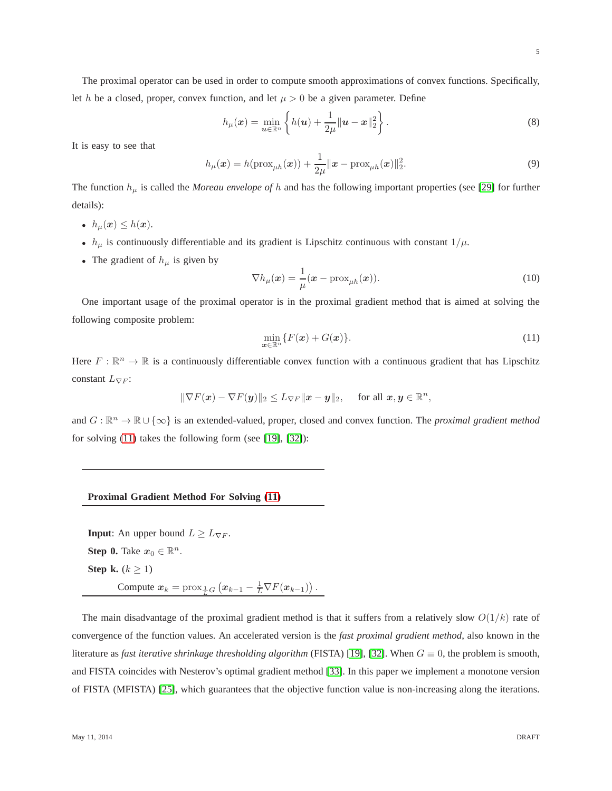The proximal operator can be used in order to compute smooth approximations of convex functions. Specifically, let h be a closed, proper, convex function, and let  $\mu > 0$  be a given parameter. Define

$$
h_{\mu}(\boldsymbol{x}) = \min_{\boldsymbol{u} \in \mathbb{R}^n} \left\{ h(\boldsymbol{u}) + \frac{1}{2\mu} ||\boldsymbol{u} - \boldsymbol{x}||_2^2 \right\}.
$$
 (8)

It is easy to see that

$$
h_{\mu}(\boldsymbol{x}) = h(\text{prox}_{\mu h}(\boldsymbol{x})) + \frac{1}{2\mu} ||\boldsymbol{x} - \text{prox}_{\mu h}(\boldsymbol{x})||_2^2.
$$
 (9)

The function  $h_{\mu}$  is called the *Moreau envelope of* h and has the following important properties (see [\[29\]](#page-25-13) for further details):

- $h_{\mu}(\boldsymbol{x}) \leq h(\boldsymbol{x}).$
- $h_{\mu}$  is continuously differentiable and its gradient is Lipschitz continuous with constant  $1/\mu$ .
- The gradient of  $h_{\mu}$  is given by

<span id="page-4-1"></span>
$$
\nabla h_{\mu}(\boldsymbol{x}) = \frac{1}{\mu} (\boldsymbol{x} - \text{prox}_{\mu h}(\boldsymbol{x})).
$$
\n(10)

One important usage of the proximal operator is in the proximal gradient method that is aimed at solving the following composite problem:

<span id="page-4-0"></span>
$$
\min_{\boldsymbol{x}\in\mathbb{R}^n} \{F(\boldsymbol{x}) + G(\boldsymbol{x})\}.
$$
\n(11)

Here  $F: \mathbb{R}^n \to \mathbb{R}$  is a continuously differentiable convex function with a continuous gradient that has Lipschitz constant  $L_{\nabla F}$ :

 $\|\nabla F(\boldsymbol{x}) - \nabla F(\boldsymbol{y})\|_2 \leq L_{\nabla F} \|\boldsymbol{x} - \boldsymbol{y}\|_2, \quad \text{ for all } \boldsymbol{x}, \boldsymbol{y} \in \mathbb{R}^n,$ 

and  $G : \mathbb{R}^n \to \mathbb{R} \cup \{\infty\}$  is an extended-valued, proper, closed and convex function. The *proximal gradient method* for solving [\(11\)](#page-4-0) takes the following form (see [\[19\]](#page-25-3), [\[32\]](#page-25-16)):

#### **Proximal Gradient Method For Solving [\(11\)](#page-4-0)**

**Input**: An upper bound  $L \geq L_{\nabla F}$ . **Step 0.** Take  $x_0 \in \mathbb{R}^n$ . **Step k.**  $(k \geq 1)$ Compute  $x_k = \text{prox}_{\frac{1}{L}G} (x_{k-1} - \frac{1}{L} \nabla F(x_{k-1}))$ .

The main disadvantage of the proximal gradient method is that it suffers from a relatively slow  $O(1/k)$  rate of convergence of the function values. An accelerated version is the *fast proximal gradient method*, also known in the literature as *fast iterative shrinkage thresholding algorithm* (FISTA) [\[19\]](#page-25-3), [\[32\]](#page-25-16). When  $G \equiv 0$ , the problem is smooth, and FISTA coincides with Nesterov's optimal gradient method [\[33\]](#page-25-17). In this paper we implement a monotone version of FISTA (MFISTA) [\[25\]](#page-25-9), which guarantees that the objective function value is non-increasing along the iterations.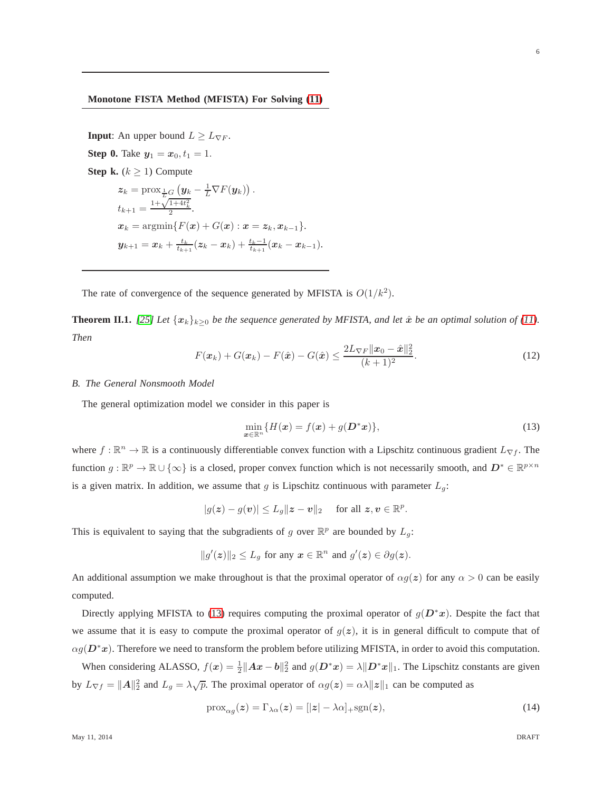## **Monotone FISTA Method (MFISTA) For Solving [\(11\)](#page-4-0)**

**Input**: An upper bound  $L \geq L_{\nabla F}$ . **Step 0.** Take  $y_1 = x_0, t_1 = 1$ . **Step k.**  $(k > 1)$  Compute  $\boldsymbol{z}_k = \text{prox}_{\frac{1}{L}G} \left( \boldsymbol{y}_k - \frac{1}{L} \nabla F(\boldsymbol{y}_k) \right).$  $t_{k+1} = \frac{1 + \sqrt{1 + 4t_k^2}}{2}.$  $x_k = \operatorname{argmin} \{ F(x) + G(x) : x = z_k, x_{k-1} \}.$  $\pmb{y}_{k+1} = \pmb{x}_k + \frac{t_k}{t_{k+1}}(\pmb{z}_k - \pmb{x}_k) + \frac{t_k-1}{t_{k+1}}(\pmb{x}_k - \pmb{x}_{k-1}).$ 

The rate of convergence of the sequence generated by MFISTA is  $O(1/k^2)$ .

<span id="page-5-2"></span>**Theorem II.1.** [\[25\]](#page-25-9) Let  $\{x_k\}_{k>0}$  be the sequence generated by MFISTA, and let  $\hat{x}$  be an optimal solution of [\(11\)](#page-4-0). *Then*

$$
F(\boldsymbol{x}_k) + G(\boldsymbol{x}_k) - F(\hat{\boldsymbol{x}}) - G(\hat{\boldsymbol{x}}) \le \frac{2L_{\nabla F} \|\boldsymbol{x}_0 - \hat{\boldsymbol{x}}\|_2^2}{(k+1)^2}.
$$
 (12)

## *B. The General Nonsmooth Model*

The general optimization model we consider in this paper is

<span id="page-5-0"></span>
$$
\min_{\boldsymbol{x}\in\mathbb{R}^n} \{H(\boldsymbol{x}) = f(\boldsymbol{x}) + g(\boldsymbol{D}^*\boldsymbol{x})\},\tag{13}
$$

where  $f : \mathbb{R}^n \to \mathbb{R}$  is a continuously differentiable convex function with a Lipschitz continuous gradient  $L_{\nabla f}$ . The function  $g : \mathbb{R}^p \to \mathbb{R} \cup \{\infty\}$  is a closed, proper convex function which is not necessarily smooth, and  $D^* \in \mathbb{R}^{p \times n}$ is a given matrix. In addition, we assume that g is Lipschitz continuous with parameter  $L_q$ :

$$
|g(\boldsymbol{z})-g(\boldsymbol{v})|\leq L_g\|\boldsymbol{z}-\boldsymbol{v}\|_2\quad\text{ for all }\boldsymbol{z},\boldsymbol{v}\in\mathbb{R}^p.
$$

This is equivalent to saying that the subgradients of g over  $\mathbb{R}^p$  are bounded by  $L_g$ :

$$
||g'(z)||_2 \leq L_g
$$
 for any  $x \in \mathbb{R}^n$  and  $g'(z) \in \partial g(z)$ .

An additional assumption we make throughout is that the proximal operator of  $\alpha g(z)$  for any  $\alpha > 0$  can be easily computed.

Directly applying MFISTA to [\(13\)](#page-5-0) requires computing the proximal operator of  $g(D^*x)$ . Despite the fact that we assume that it is easy to compute the proximal operator of  $g(z)$ , it is in general difficult to compute that of  $\alpha g(D^*x)$ . Therefore we need to transform the problem before utilizing MFISTA, in order to avoid this computation.

When considering ALASSO,  $f(x) = \frac{1}{2} ||Ax - b||_2^2$  and  $g(D^*x) = \lambda ||D^*x||_1$ . The Lipschitz constants are given by  $L_{\nabla f} = ||A||_2^2$  and  $L_g = \lambda \sqrt{p}$ . The proximal operator of  $\alpha g(z) = \alpha \lambda ||z||_1$  can be computed as

<span id="page-5-1"></span>
$$
\text{prox}_{\alpha g}(z) = \Gamma_{\lambda \alpha}(z) = [|z| - \lambda \alpha]_{+} \text{sgn}(z), \tag{14}
$$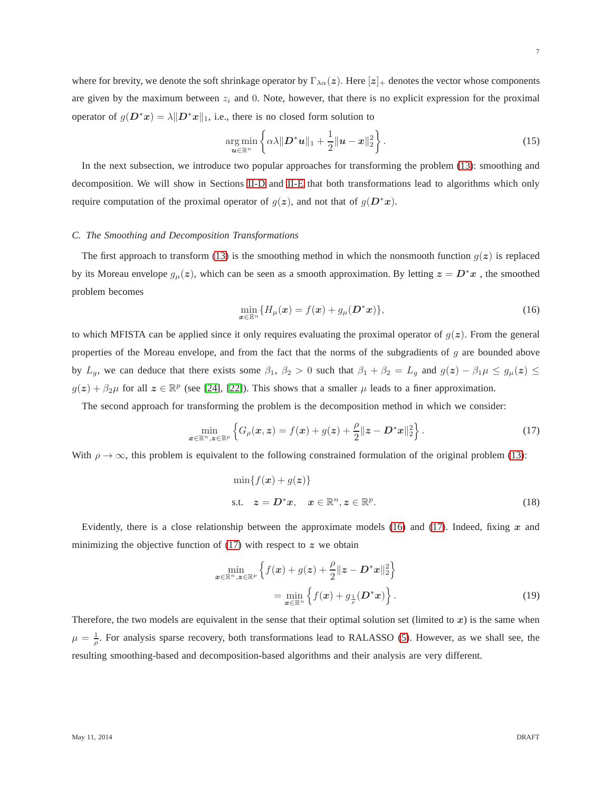where for brevity, we denote the soft shrinkage operator by  $\Gamma_{\lambda\alpha}(z)$ . Here  $[z]_+$  denotes the vector whose components are given by the maximum between  $z_i$  and 0. Note, however, that there is no explicit expression for the proximal operator of  $g(D^*x) = \lambda ||D^*x||_1$ , i.e., there is no closed form solution to

$$
\underset{\boldsymbol{u}\in\mathbb{R}^n}{\arg\min} \left\{\alpha\lambda \|\boldsymbol{D}^*\boldsymbol{u}\|_1 + \frac{1}{2}\|\boldsymbol{u}-\boldsymbol{x}\|_2^2\right\}.
$$
 (15)

In the next subsection, we introduce two popular approaches for transforming the problem [\(13\)](#page-5-0): smoothing and decomposition. We will show in Sections [II-D](#page-7-0) and [II-E](#page-8-1) that both transformations lead to algorithms which only require computation of the proximal operator of  $g(z)$ , and not that of  $g(D^*x)$ .

#### <span id="page-6-0"></span>*C. The Smoothing and Decomposition Transformations*

The first approach to transform [\(13\)](#page-5-0) is the smoothing method in which the nonsmooth function  $g(z)$  is replaced by its Moreau envelope  $g_{\mu}(z)$ , which can be seen as a smooth approximation. By letting  $z = D^*x$ , the smoothed problem becomes

<span id="page-6-1"></span>
$$
\min_{\boldsymbol{x}\in\mathbb{R}^n} \{H_{\mu}(\boldsymbol{x}) = f(\boldsymbol{x}) + g_{\mu}(\boldsymbol{D}^*\boldsymbol{x})\},\tag{16}
$$

to which MFISTA can be applied since it only requires evaluating the proximal operator of  $g(z)$ . From the general properties of the Moreau envelope, and from the fact that the norms of the subgradients of g are bounded above by  $L_g$ , we can deduce that there exists some  $\beta_1$ ,  $\beta_2 > 0$  such that  $\beta_1 + \beta_2 = L_g$  and  $g(z) - \beta_1 \mu \le g_{\mu}(z) \le$  $g(z) + \beta_2 \mu$  for all  $z \in \mathbb{R}^p$  (see [\[24\]](#page-25-8), [\[22\]](#page-25-6)). This shows that a smaller  $\mu$  leads to a finer approximation.

The second approach for transforming the problem is the decomposition method in which we consider:

<span id="page-6-2"></span>
$$
\min_{\boldsymbol{x}\in\mathbb{R}^n,\boldsymbol{z}\in\mathbb{R}^p} \left\{ G_{\rho}(\boldsymbol{x},\boldsymbol{z}) = f(\boldsymbol{x}) + g(\boldsymbol{z}) + \frac{\rho}{2} \|\boldsymbol{z} - \boldsymbol{D}^*\boldsymbol{x}\|_2^2 \right\}.
$$
\n(17)

With  $\rho \to \infty$ , this problem is equivalent to the following constrained formulation of the original problem [\(13\)](#page-5-0):

$$
\min\{f(\boldsymbol{x}) + g(\boldsymbol{z})\}
$$
  
s.t.  $\boldsymbol{z} = \boldsymbol{D}^* \boldsymbol{x}, \quad \boldsymbol{x} \in \mathbb{R}^n, \boldsymbol{z} \in \mathbb{R}^p.$  (18)

Evidently, there is a close relationship between the approximate models  $(16)$  and  $(17)$ . Indeed, fixing x and minimizing the objective function of  $(17)$  with respect to z we obtain

$$
\min_{\boldsymbol{x} \in \mathbb{R}^n, \boldsymbol{z} \in \mathbb{R}^p} \left\{ f(\boldsymbol{x}) + g(\boldsymbol{z}) + \frac{\rho}{2} || \boldsymbol{z} - \boldsymbol{D}^* \boldsymbol{x} ||_2^2 \right\}
$$
\n
$$
= \min_{\boldsymbol{x} \in \mathbb{R}^n} \left\{ f(\boldsymbol{x}) + g_{\frac{1}{\rho}}(\boldsymbol{D}^* \boldsymbol{x}) \right\}.
$$
\n(19)

Therefore, the two models are equivalent in the sense that their optimal solution set (limited to  $x$ ) is the same when  $\mu = \frac{1}{\rho}$ . For analysis sparse recovery, both transformations lead to RALASSO [\(5\)](#page-2-0). However, as we shall see, the resulting smoothing-based and decomposition-based algorithms and their analysis are very different.

7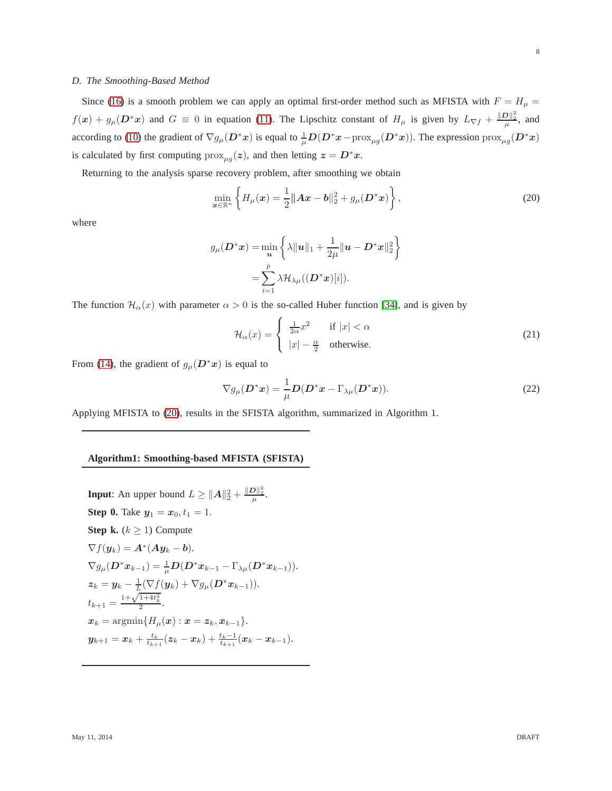## <span id="page-7-0"></span>*D. The Smoothing-Based Method*

Since [\(16\)](#page-6-1) is a smooth problem we can apply an optimal first-order method such as MFISTA with  $F = H_{\mu}$  $f(x) + g_\mu(D^*x)$  and  $G \equiv 0$  in equation [\(11\)](#page-4-0). The Lipschitz constant of  $H_\mu$  is given by  $L_{\nabla f} + \frac{\|D\|_2^2}{\mu}$ , and according to [\(10\)](#page-4-1) the gradient of  $\nabla g_\mu(D^*x)$  is equal to  $\frac{1}{\mu}D(D^*x-\text{prox}_{\mu g}(D^*x))$ . The expression  $\text{prox}_{\mu g}(D^*x)$ is calculated by first computing  $prox_{\mu q}(z)$ , and then letting  $z = D^*x$ .

Returning to the analysis sparse recovery problem, after smoothing we obtain

<span id="page-7-1"></span>
$$
\min_{\mathbf{x} \in \mathbb{R}^n} \left\{ H_\mu(\mathbf{x}) = \frac{1}{2} ||\mathbf{A}\mathbf{x} - \mathbf{b}||_2^2 + g_\mu(\mathbf{D}^* \mathbf{x}) \right\},\tag{20}
$$

where

$$
g_{\mu}(\mathbf{D}^*\mathbf{x}) = \min_{\mathbf{u}} \left\{ \lambda \|\mathbf{u}\|_1 + \frac{1}{2\mu} \|\mathbf{u} - \mathbf{D}^*\mathbf{x}\|_2^2 \right\}
$$

$$
= \sum_{i=1}^p \lambda \mathcal{H}_{\lambda\mu}((\mathbf{D}^*\mathbf{x})[i]).
$$

The function  $\mathcal{H}_{\alpha}(x)$  with parameter  $\alpha > 0$  is the so-called Huber function [\[34\]](#page-25-18), and is given by

$$
\mathcal{H}_{\alpha}(x) = \begin{cases} \frac{1}{2\alpha}x^2 & \text{if } |x| < \alpha \\ |x| - \frac{\alpha}{2} & \text{otherwise.} \end{cases}
$$
 (21)

From [\(14\)](#page-5-1), the gradient of  $g_{\mu}(\mathbf{D}^*\mathbf{x})$  is equal to

$$
\nabla g_{\mu}(\mathbf{D}^*x) = \frac{1}{\mu} \mathbf{D}(\mathbf{D}^*x - \Gamma_{\lambda\mu}(\mathbf{D}^*x)).
$$
\n(22)

Applying MFISTA to [\(20\)](#page-7-1), results in the SFISTA algorithm, summarized in Algorithm 1.

#### **Algorithm1: Smoothing-based MFISTA (SFISTA)**

**Input**: An upper bound  $L \ge ||A||_2^2 + \frac{||D||_2^2}{\mu}$ . **Step 0.** Take  $y_1 = x_0, t_1 = 1$ . **Step k.**  $(k \geq 1)$  Compute  $\nabla f(\mathbf{y}_k) = \mathbf{A}^*(\mathbf{A}\mathbf{y}_k - \mathbf{b}).$  $\nabla g_\mu(\boldsymbol{D}^* \boldsymbol{x}_{k-1}) = \frac{1}{\mu} \boldsymbol{D} (\boldsymbol{D}^* \boldsymbol{x}_{k-1} - \Gamma_{\lambda \mu} (\boldsymbol{D}^* \boldsymbol{x}_{k-1})).$  $\bm{z}_k = \bm{y}_k - \frac{1}{L}(\nabla f(\bm{y}_k) + \nabla g_{\mu}(\bm{D}^* \bm{x}_{k-1})).$  $t_{k+1} = \frac{1 + \sqrt{1 + 4t_k^2}}{2}.$  $x_k = \text{argmin} \{ H_\mu(x) : x = z_k, x_{k-1} \}.$  $\bm{y}_{k+1} = \bm{x}_k + \frac{t_k}{t_{k+1}}(\bm{z}_k - \bm{x}_k) + \frac{t_k-1}{t_{k+1}}(\bm{x}_k - \bm{x}_{k-1}).$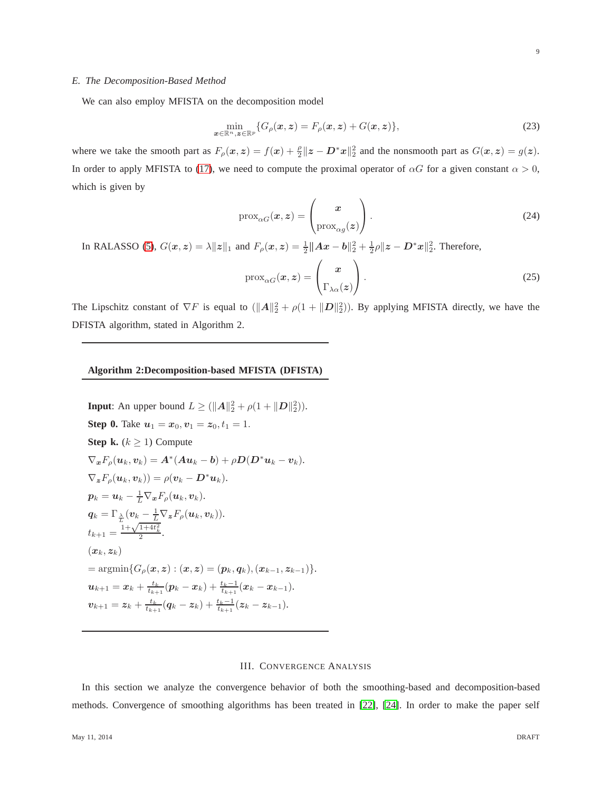## <span id="page-8-1"></span>*E. The Decomposition-Based Method*

We can also employ MFISTA on the decomposition model

$$
\min_{\boldsymbol{x}\in\mathbb{R}^n,\boldsymbol{z}\in\mathbb{R}^p} \{G_{\rho}(\boldsymbol{x},\boldsymbol{z})=F_{\rho}(\boldsymbol{x},\boldsymbol{z})+G(\boldsymbol{x},\boldsymbol{z})\},\tag{23}
$$

where we take the smooth part as  $F_{\rho}(x, z) = f(x) + \frac{\rho}{2} ||z - D^*x||_2^2$  and the nonsmooth part as  $G(x, z) = g(z)$ . In order to apply MFISTA to [\(17\)](#page-6-2), we need to compute the proximal operator of  $\alpha G$  for a given constant  $\alpha > 0$ , which is given by

$$
\operatorname{prox}_{\alpha G}(\boldsymbol{x}, \boldsymbol{z}) = \begin{pmatrix} \boldsymbol{x} \\ \operatorname{prox}_{\alpha g}(\boldsymbol{z}) \end{pmatrix} . \tag{24}
$$

In RALASSO [\(5\)](#page-2-0),  $G(x, z) = \lambda ||z||_1$  and  $F_\rho(x, z) = \frac{1}{2} ||Ax - b||_2^2 + \frac{1}{2}\rho ||z - D^*x||_2^2$ . Therefore,

$$
\operatorname{prox}_{\alpha G}(\boldsymbol{x}, \boldsymbol{z}) = \begin{pmatrix} \boldsymbol{x} \\ \Gamma_{\lambda \alpha}(\boldsymbol{z}) \end{pmatrix} . \tag{25}
$$

The Lipschitz constant of  $\nabla F$  is equal to  $(\Vert \mathbf{A} \Vert_2^2 + \rho(1 + \Vert \mathbf{D} \Vert_2^2))$ . By applying MFISTA directly, we have the DFISTA algorithm, stated in Algorithm 2.

## **Algorithm 2:Decomposition-based MFISTA (DFISTA)**

**Input:** An upper bound 
$$
L \geq (\|A\|_2^2 + \rho(1 + \|D\|_2^2)).
$$
  
\n**Step 0.** Take  $u_1 = x_0, v_1 = z_0, t_1 = 1$ .  
\n**Step k.**  $(k \geq 1)$  Compute  
\n
$$
\nabla_x F_\rho(u_k, v_k) = A^*(Au_k - b) + \rho D(D^*u_k - v_k).
$$
\n
$$
\nabla_z F_\rho(u_k, v_k)) = \rho(v_k - D^*u_k).
$$
\n
$$
p_k = u_k - \frac{1}{L} \nabla_x F_\rho(u_k, v_k).
$$
\n
$$
q_k = \Gamma_{\frac{\lambda}{L}}(v_k - \frac{1}{L} \nabla_z F_\rho(u_k, v_k)).
$$
\n
$$
t_{k+1} = \frac{1 + \sqrt{1 + 4t_k^2}}{2}.
$$
\n
$$
(x_k, z_k)
$$
\n
$$
= \operatorname{argmin} \{G_\rho(x, z) : (x, z) = (p_k, q_k), (x_{k-1}, z_{k-1})\}.
$$
\n
$$
u_{k+1} = x_k + \frac{t_k}{t_{k+1}}(p_k - x_k) + \frac{t_k - 1}{t_{k+1}}(x_k - x_{k-1}).
$$
\n
$$
v_{k+1} = z_k + \frac{t_k}{t_{k+1}}(q_k - z_k) + \frac{t_k - 1}{t_{k+1}}(z_k - z_{k-1}).
$$

#### III. CONVERGENCE ANALYSIS

<span id="page-8-0"></span>In this section we analyze the convergence behavior of both the smoothing-based and decomposition-based methods. Convergence of smoothing algorithms has been treated in [\[22\]](#page-25-6), [\[24\]](#page-25-8). In order to make the paper self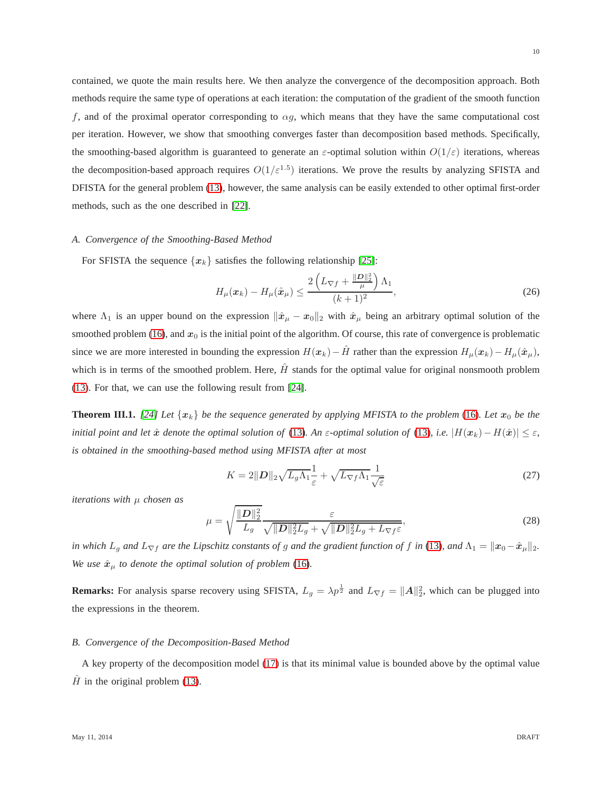contained, we quote the main results here. We then analyze the convergence of the decomposition approach. Both methods require the same type of operations at each iteration: the computation of the gradient of the smooth function f, and of the proximal operator corresponding to  $\alpha g$ , which means that they have the same computational cost per iteration. However, we show that smoothing converges faster than decomposition based methods. Specifically, the smoothing-based algorithm is guaranteed to generate an  $\varepsilon$ -optimal solution within  $O(1/\varepsilon)$  iterations, whereas the decomposition-based approach requires  $O(1/\varepsilon^{1.5})$  iterations. We prove the results by analyzing SFISTA and DFISTA for the general problem [\(13\)](#page-5-0), however, the same analysis can be easily extended to other optimal first-order methods, such as the one described in [\[22\]](#page-25-6).

#### *A. Convergence of the Smoothing-Based Method*

For SFISTA the sequence  $\{x_k\}$  satisfies the following relationship [\[25\]](#page-25-9):

$$
H_{\mu}(\boldsymbol{x}_{k}) - H_{\mu}(\hat{\boldsymbol{x}}_{\mu}) \le \frac{2\left(L_{\nabla f} + \frac{\|\boldsymbol{D}\|_{2}^{2}}{\mu}\right)\Lambda_{1}}{(k+1)^{2}},\tag{26}
$$

where  $\Lambda_1$  is an upper bound on the expression  $\|\hat{x}_{\mu} - x_0\|_2$  with  $\hat{x}_{\mu}$  being an arbitrary optimal solution of the smoothed problem [\(16\)](#page-6-1), and  $x_0$  is the initial point of the algorithm. Of course, this rate of convergence is problematic since we are more interested in bounding the expression  $H(x_k)-\hat{H}$  rather than the expression  $H_\mu(x_k)-H_\mu(\hat{x}_\mu)$ , which is in terms of the smoothed problem. Here,  $\hat{H}$  stands for the optimal value for original nonsmooth problem [\(13\)](#page-5-0). For that, we can use the following result from [\[24\]](#page-25-8).

**Theorem III.1.** [\[24\]](#page-25-8) Let  $\{x_k\}$  be the sequence generated by applying MFISTA to the problem [\(16\)](#page-6-1). Let  $x_0$  be the *initial point and let*  $\hat{x}$  *denote the optimal solution of* [\(13\)](#page-5-0)*. An*  $\varepsilon$ -*optimal solution of* (13)*, i.e.*  $|H(x_k) - H(\hat{x})| \leq \varepsilon$ *, is obtained in the smoothing-based method using MFISTA after at most*

$$
K = 2||\mathbf{D}||_2\sqrt{L_g\Lambda_1}\frac{1}{\varepsilon} + \sqrt{L_{\nabla f}\Lambda_1}\frac{1}{\sqrt{\varepsilon}}
$$
\n(27)

*iterations with* µ *chosen as*

$$
\mu = \sqrt{\frac{\|\mathbf{D}\|_2^2}{L_g}} \frac{\varepsilon}{\sqrt{\|\mathbf{D}\|_2^2 L_g} + \sqrt{\|\mathbf{D}\|_2^2 L_g + L_{\nabla f}\varepsilon}},\tag{28}
$$

*in which*  $L_g$  *and*  $L_{\nabla f}$  *are the Lipschitz constants of g and the gradient function of f in* [\(13\)](#page-5-0)*, and*  $\Lambda_1 = ||x_0 - \hat{x}_\mu||_2$ . *We use*  $\hat{x}_{\mu}$  *to denote the optimal solution of problem* [\(16\)](#page-6-1)*.* 

**Remarks:** For analysis sparse recovery using SFISTA,  $L_g = \lambda p^{\frac{1}{2}}$  and  $L_{\nabla f} = ||A||_2^2$ , which can be plugged into the expressions in the theorem.

## *B. Convergence of the Decomposition-Based Method*

A key property of the decomposition model [\(17\)](#page-6-2) is that its minimal value is bounded above by the optimal value  $\hat{H}$  in the original problem [\(13\)](#page-5-0).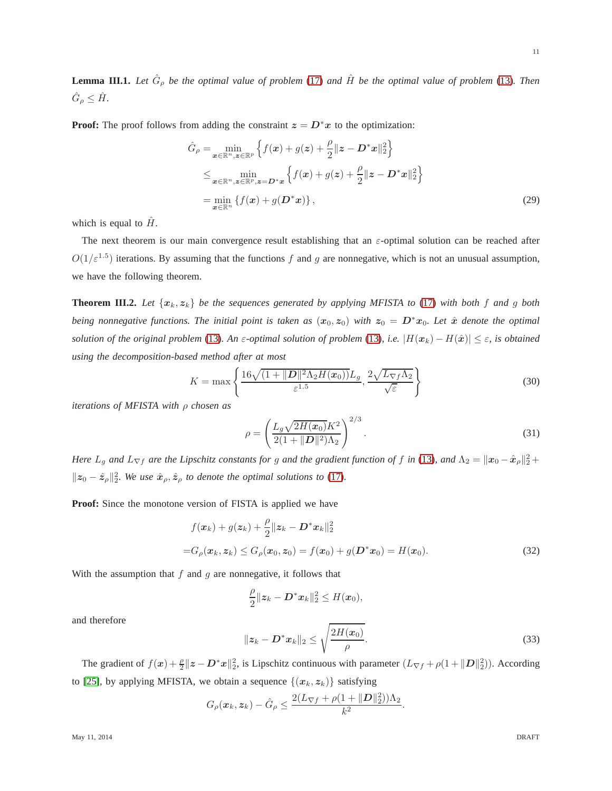<span id="page-10-0"></span>**Lemma III.1.** Let  $\hat{G}_{\rho}$  be the optimal value of problem [\(17\)](#page-6-2) and  $\hat{H}$  be the optimal value of problem [\(13\)](#page-5-0). Then  $\hat{G}_{\rho} \leq \hat{H}$ .

**Proof:** The proof follows from adding the constraint  $z = D^*x$  to the optimization:

$$
\hat{G}_{\rho} = \min_{\mathbf{x} \in \mathbb{R}^n, \mathbf{z} \in \mathbb{R}^p} \left\{ f(\mathbf{x}) + g(\mathbf{z}) + \frac{\rho}{2} ||\mathbf{z} - \mathbf{D}^* \mathbf{x}||_2^2 \right\}
$$
\n
$$
\leq \min_{\mathbf{x} \in \mathbb{R}^n, \mathbf{z} \in \mathbb{R}^p, \mathbf{z} = \mathbf{D}^* \mathbf{x}} \left\{ f(\mathbf{x}) + g(\mathbf{z}) + \frac{\rho}{2} ||\mathbf{z} - \mathbf{D}^* \mathbf{x}||_2^2 \right\}
$$
\n
$$
= \min_{\mathbf{x} \in \mathbb{R}^n} \left\{ f(\mathbf{x}) + g(\mathbf{D}^* \mathbf{x}) \right\},
$$
\n(29)

which is equal to  $H$ .

The next theorem is our main convergence result establishing that an  $\varepsilon$ -optimal solution can be reached after  $O(1/\varepsilon^{1.5})$  iterations. By assuming that the functions f and g are nonnegative, which is not an unusual assumption, we have the following theorem.

**Theorem III.2.** Let  $\{x_k, z_k\}$  be the sequences generated by applying MFISTA to [\(17\)](#page-6-2) with both f and g both *being nonnegative functions. The initial point is taken as*  $(x_0, z_0)$  *with*  $z_0 = D^*x_0$ *. Let*  $\hat{x}$  *denote the optimal solution of the original problem* [\(13\)](#page-5-0)*. An*  $\varepsilon$ -*optimal solution of problem* (13)*, i.e.*  $|H(x_k) - H(\hat{x})| \leq \varepsilon$ *, is obtained using the decomposition-based method after at most*

$$
K = \max\left\{\frac{16\sqrt{(1+||\mathbf{D}||^2\Lambda_2H(\mathbf{x}_0))}L_g}{\varepsilon^{1.5}}, \frac{2\sqrt{L_{\nabla f}\Lambda_2}}{\sqrt{\varepsilon}}\right\}
$$
(30)

*iterations of MFISTA with* ρ *chosen as*

$$
\rho = \left(\frac{L_g \sqrt{2H(x_0)} K^2}{2(1 + ||\mathbf{D}||^2) \Lambda_2}\right)^{2/3}.
$$
\n(31)

*Here*  $L_g$  and  $L_{\nabla f}$  are the Lipschitz constants for g and the gradient function of f in [\(13\)](#page-5-0), and  $\Lambda_2 = \|x_0 - \hat{x}_\rho\|_2^2 +$  $||z_0 - \hat{z}_\rho||_2^2$ . We use  $\hat{x}_\rho, \hat{z}_\rho$  to denote the optimal solutions to [\(17\)](#page-6-2).

**Proof:** Since the monotone version of FISTA is applied we have

$$
f(\mathbf{x}_k) + g(\mathbf{z}_k) + \frac{\rho}{2} ||\mathbf{z}_k - \mathbf{D}^* \mathbf{x}_k||_2^2
$$
  
=  $G_\rho(\mathbf{x}_k, \mathbf{z}_k) \le G_\rho(\mathbf{x}_0, \mathbf{z}_0) = f(\mathbf{x}_0) + g(\mathbf{D}^* \mathbf{x}_0) = H(\mathbf{x}_0).$  (32)

With the assumption that  $f$  and  $g$  are nonnegative, it follows that

<span id="page-10-2"></span>
$$
\frac{\rho}{2}||z_k-\boldsymbol{D}^*x_k||_2^2\leq H(x_0),
$$

and therefore

<span id="page-10-1"></span>
$$
||z_k - D^* x_k||_2 \le \sqrt{\frac{2H(x_0)}{\rho}}.
$$
\n(33)

The gradient of  $f(x) + \frac{\rho}{2} ||z - D^*x||_2^2$ , is Lipschitz continuous with parameter  $(L_{\nabla f} + \rho(1 + ||D||_2^2))$ . According to [\[25\]](#page-25-9), by applying MFISTA, we obtain a sequence  $\{(x_k, z_k)\}\$  satisfying

$$
G_{\rho}(\boldsymbol{x}_k, \boldsymbol{z}_k) - \hat{G}_{\rho} \le \frac{2(L_{\nabla f} + \rho(1 + ||\boldsymbol{D}||_2^2))\Lambda_2}{k^2}.
$$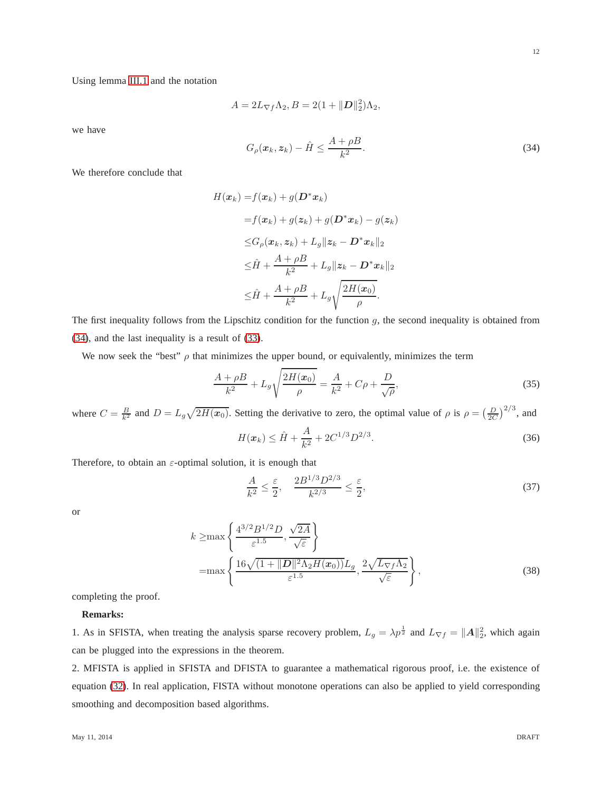Using lemma [III.1](#page-10-0) and the notation

$$
A = 2L_{\nabla f} \Lambda_2, B = 2(1 + ||\boldsymbol{D}||_2^2)\Lambda_2,
$$

we have

<span id="page-11-0"></span> $G_{\rho}(\boldsymbol{x}_{k},\boldsymbol{z}_{k})-\hat{H}\leq\frac{A+\rho B}{k^{2}}$  $k<sup>2</sup>$  $(34)$ 

We therefore conclude that

$$
H(\boldsymbol{x}_k) = f(\boldsymbol{x}_k) + g(\boldsymbol{D}^* \boldsymbol{x}_k)
$$
  
\n
$$
= f(\boldsymbol{x}_k) + g(\boldsymbol{z}_k) + g(\boldsymbol{D}^* \boldsymbol{x}_k) - g(\boldsymbol{z}_k)
$$
  
\n
$$
\leq G_\rho(\boldsymbol{x}_k, \boldsymbol{z}_k) + L_g \|\boldsymbol{z}_k - \boldsymbol{D}^* \boldsymbol{x}_k\|_2
$$
  
\n
$$
\leq \hat{H} + \frac{A + \rho B}{k^2} + L_g \|\boldsymbol{z}_k - \boldsymbol{D}^* \boldsymbol{x}_k\|_2
$$
  
\n
$$
\leq \hat{H} + \frac{A + \rho B}{k^2} + L_g \sqrt{\frac{2H(\boldsymbol{x}_0)}{\rho}}.
$$

The first inequality follows from the Lipschitz condition for the function  $g$ , the second inequality is obtained from [\(34\)](#page-11-0), and the last inequality is a result of [\(33\)](#page-10-1).

We now seek the "best"  $\rho$  that minimizes the upper bound, or equivalently, minimizes the term

$$
\frac{A + \rho B}{k^2} + L_g \sqrt{\frac{2H(x_0)}{\rho}} = \frac{A}{k^2} + C\rho + \frac{D}{\sqrt{\rho}},
$$
\n(35)

where  $C = \frac{B}{k^2}$  and  $D = L_g \sqrt{2H(x_0)}$ . Setting the derivative to zero, the optimal value of  $\rho$  is  $\rho = \left(\frac{D}{2C}\right)^{2/3}$ , and  $H(\boldsymbol{x}_k) \leq \hat{H} + \frac{A}{k^2}$  $\frac{A}{k^2} + 2C^{1/3}D^{2/3}$  $(36)$ 

Therefore, to obtain an  $\varepsilon$ -optimal solution, it is enough that

$$
\frac{A}{k^2} \le \frac{\varepsilon}{2}, \quad \frac{2B^{1/3}D^{2/3}}{k^{2/3}} \le \frac{\varepsilon}{2},\tag{37}
$$

or

$$
k \ge \max\left\{\frac{4^{3/2}B^{1/2}D}{\varepsilon^{1.5}}, \frac{\sqrt{2A}}{\sqrt{\varepsilon}}\right\}
$$
  
=
$$
\max\left\{\frac{16\sqrt{(1+\|\mathbf{D}\|^2\Lambda_2H(\mathbf{x}_0))}L_g}{\varepsilon^{1.5}}, \frac{2\sqrt{L_{\nabla f}\Lambda_2}}{\sqrt{\varepsilon}}\right\},
$$
(38)

completing the proof.

# **Remarks:**

1. As in SFISTA, when treating the analysis sparse recovery problem,  $L_g = \lambda p^{\frac{1}{2}}$  and  $L_{\nabla f} = ||A||_2^2$ , which again can be plugged into the expressions in the theorem.

2. MFISTA is applied in SFISTA and DFISTA to guarantee a mathematical rigorous proof, i.e. the existence of equation [\(32\)](#page-10-2). In real application, FISTA without monotone operations can also be applied to yield corresponding smoothing and decomposition based algorithms.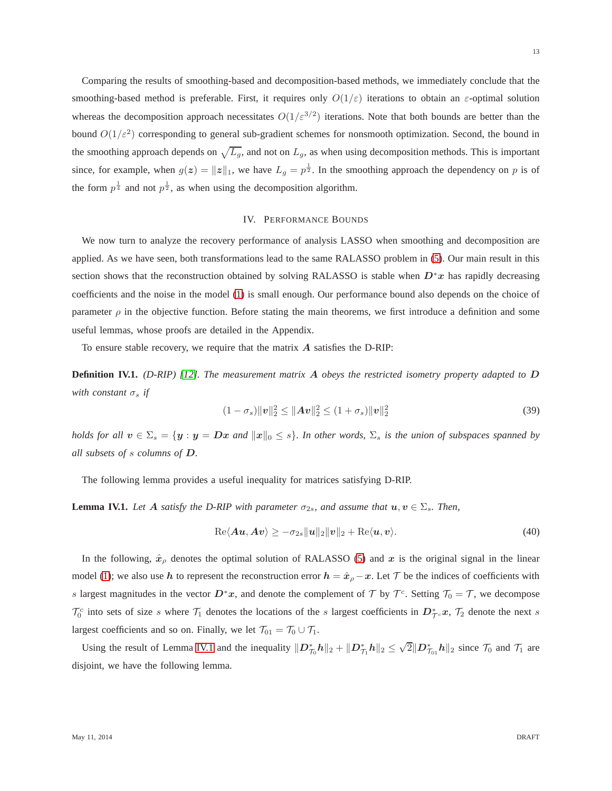Comparing the results of smoothing-based and decomposition-based methods, we immediately conclude that the smoothing-based method is preferable. First, it requires only  $O(1/\varepsilon)$  iterations to obtain an  $\varepsilon$ -optimal solution whereas the decomposition approach necessitates  $O(1/\varepsilon^{3/2})$  iterations. Note that both bounds are better than the bound  $O(1/\varepsilon^2)$  corresponding to general sub-gradient schemes for nonsmooth optimization. Second, the bound in the smoothing approach depends on  $\sqrt{L_g}$ , and not on  $L_g$ , as when using decomposition methods. This is important since, for example, when  $g(z) = ||z||_1$ , we have  $L_g = p^{\frac{1}{2}}$ . In the smoothing approach the dependency on p is of the form  $p^{\frac{1}{4}}$  and not  $p^{\frac{1}{2}}$ , as when using the decomposition algorithm.

## IV. PERFORMANCE BOUNDS

<span id="page-12-0"></span>We now turn to analyze the recovery performance of analysis LASSO when smoothing and decomposition are applied. As we have seen, both transformations lead to the same RALASSO problem in [\(5\)](#page-2-0). Our main result in this section shows that the reconstruction obtained by solving RALASSO is stable when  $D^*x$  has rapidly decreasing coefficients and the noise in the model [\(1\)](#page-1-2) is small enough. Our performance bound also depends on the choice of parameter  $\rho$  in the objective function. Before stating the main theorems, we first introduce a definition and some useful lemmas, whose proofs are detailed in the Appendix.

To ensure stable recovery, we require that the matrix  $\vec{A}$  satisfies the D-RIP:

**Definition IV.1.** *(D-RIP) [\[12\]](#page-24-8). The measurement matrix* A *obeys the restricted isometry property adapted to* D *with constant*  $\sigma_s$  *if* 

$$
(1 - \sigma_s) ||\mathbf{v}||_2^2 \le ||A\mathbf{v}||_2^2 \le (1 + \sigma_s) ||\mathbf{v}||_2^2
$$
\n(39)

*holds for all*  $v \in \Sigma_s = \{y : y = Dx \text{ and } ||x||_0 \leq s\}$ . In other words,  $\Sigma_s$  is the union of subspaces spanned by *all subsets of* s *columns of* D*.*

The following lemma provides a useful inequality for matrices satisfying D-RIP.

<span id="page-12-1"></span>**Lemma IV.1.** Let A satisfy the D-RIP with parameter  $\sigma_{2s}$ , and assume that  $u, v \in \Sigma_s$ . Then,

$$
\operatorname{Re}\langle \boldsymbol{A}\boldsymbol{u}, \boldsymbol{A}\boldsymbol{v}\rangle \geq -\sigma_{2s} \|\boldsymbol{u}\|_{2} \|\boldsymbol{v}\|_{2} + \operatorname{Re}\langle \boldsymbol{u}, \boldsymbol{v}\rangle. \tag{40}
$$

In the following,  $\hat{x}_p$  denotes the optimal solution of RALASSO [\(5\)](#page-2-0) and x is the original signal in the linear model [\(1\)](#page-1-2); we also use h to represent the reconstruction error  $h = \hat{x}_{\rho} - x$ . Let T be the indices of coefficients with s largest magnitudes in the vector  $D^*x$ , and denote the complement of  $\mathcal T$  by  $\mathcal T^c$ . Setting  $\mathcal T_0 = \mathcal T$ , we decompose  $\mathcal{T}_0^c$  into sets of size s where  $\mathcal{T}_1$  denotes the locations of the s largest coefficients in  $D_{\mathcal{T}}^*$  $x$ ,  $\mathcal{T}_2$  denote the next s largest coefficients and so on. Finally, we let  $\mathcal{T}_{01} = \mathcal{T}_0 \cup \mathcal{T}_1$ .

Using the result of Lemma [IV.1](#page-12-1) and the inequality  $||D_{\tau_0}^* h||_2 + ||D_{\tau_1}^* h||_2 \le \sqrt{2} ||D_{\tau_{01}}^* h||_2$  since  $\tau_0$  and  $\tau_1$  are disjoint, we have the following lemma.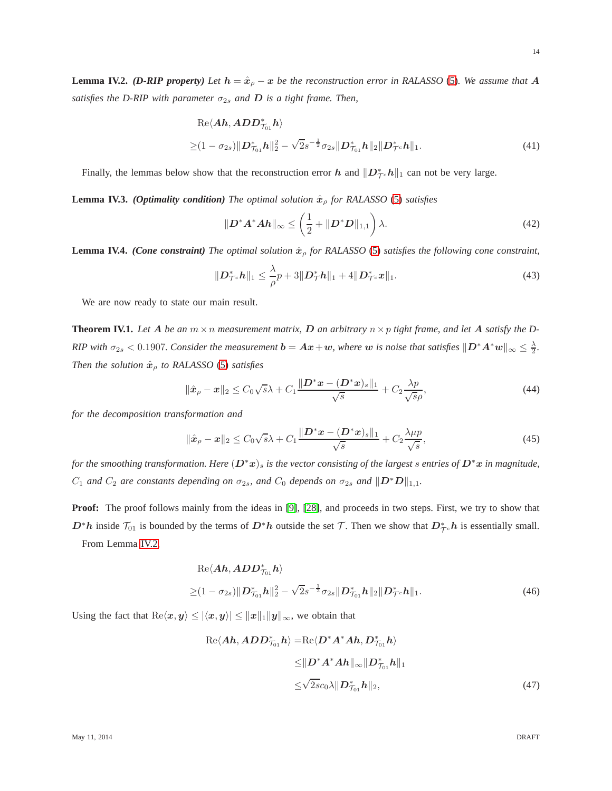<span id="page-13-0"></span>**Lemma IV.2.** *(D-RIP property) Let*  $h = \hat{x}_{\rho} - x$  *be the reconstruction error in RALASSO* [\(5\)](#page-2-0)*. We assume that* A *satisfies the D-RIP with parameter*  $\sigma_{2s}$  *and D is a tight frame. Then,* 

$$
\operatorname{Re}\langle\mathbf{A}\mathbf{h}, \mathbf{A} \mathbf{D} \mathbf{D}_{\mathcal{T}_{01}}^* \mathbf{h}\rangle \geq (1 - \sigma_{2s}) \|\mathbf{D}_{\mathcal{T}_{01}}^* \mathbf{h}\|_2^2 - \sqrt{2}s^{-\frac{1}{2}} \sigma_{2s} \|\mathbf{D}_{\mathcal{T}_{01}}^* \mathbf{h}\|_2 \|\mathbf{D}_{\mathcal{T}^c}^* \mathbf{h}\|_1.
$$
\n(41)

Finally, the lemmas below show that the reconstruction error h and  $||D_{\mathcal{T}^c}^*h||_1$  can not be very large.

<span id="page-13-1"></span>**Lemma IV.3.** *(Optimality condition) The optimal solution*  $\hat{x}_o$  *for RALASSO* [\(5\)](#page-2-0) *satisfies* 

$$
\|\boldsymbol{D}^*\boldsymbol{A}^*\boldsymbol{A}\boldsymbol{h}\|_{\infty} \le \left(\frac{1}{2} + \|\boldsymbol{D}^*\boldsymbol{D}\|_{1,1}\right)\lambda.
$$
 (42)

<span id="page-13-4"></span>**Lemma IV.4.** *(Cone constraint) The optimal solution*  $\hat{x}_p$  *for RALASSO* [\(5\)](#page-2-0) *satisfies the following cone constraint,* 

$$
\|\mathbf{D}_{\mathcal{T}^c}^* \mathbf{h}\|_1 \leq \frac{\lambda}{\rho} p + 3\|\mathbf{D}_{\mathcal{T}}^* \mathbf{h}\|_1 + 4\|\mathbf{D}_{\mathcal{T}^c}^* \mathbf{x}\|_1. \tag{43}
$$

We are now ready to state our main result.

<span id="page-13-5"></span>**Theorem IV.1.** Let A be an  $m \times n$  measurement matrix, D an arbitrary  $n \times p$  tight frame, and let A satisfy the D-*RIP* with  $\sigma_{2s} < 0.1907$ . Consider the measurement  $b = Ax + w$ , where w is noise that satisfies  $\|D^*A^*w\|_{\infty} \leq \frac{\lambda}{2}$ . *Then the solution*  $\hat{x}_\rho$  *to RALASSO* [\(5\)](#page-2-0) *satisfies* 

$$
\|\hat{\boldsymbol{x}}_{\rho} - \boldsymbol{x}\|_2 \le C_0 \sqrt{s} \lambda + C_1 \frac{\|\boldsymbol{D}^* \boldsymbol{x} - (\boldsymbol{D}^* \boldsymbol{x})_s\|_1}{\sqrt{s}} + C_2 \frac{\lambda p}{\sqrt{s}\rho},\tag{44}
$$

*for the decomposition transformation and*

$$
\|\hat{\boldsymbol{x}}_{\rho} - \boldsymbol{x}\|_2 \le C_0 \sqrt{s} \lambda + C_1 \frac{\|\boldsymbol{D}^* \boldsymbol{x} - (\boldsymbol{D}^* \boldsymbol{x})_s\|_1}{\sqrt{s}} + C_2 \frac{\lambda \mu p}{\sqrt{s}},\tag{45}
$$

*for the smoothing transformation. Here*  $(D^*x)_s$  *is the vector consisting of the largest s entries of*  $D^*x$  *in magnitude,*  $C_1$  *and*  $C_2$  *are constants depending on*  $\sigma_{2s}$ *, and*  $C_0$  *depends on*  $\sigma_{2s}$  *and*  $||D^*D||_{1,1}$ *.* 

**Proof:** The proof follows mainly from the ideas in [\[9\]](#page-24-6), [\[28\]](#page-25-12), and proceeds in two steps. First, we try to show that  $D^*h$  inside  $\mathcal{T}_{01}$  is bounded by the terms of  $D^*h$  outside the set  $\mathcal{T}$ . Then we show that  $D^*_{\mathcal{T}c}h$  is essentially small. From Lemma [IV.2,](#page-13-0)

$$
\operatorname{Re}\langle\mathbf{A}\mathbf{h}, \mathbf{A}D\mathbf{D}_{\mathcal{T}_{01}}^{*}\mathbf{h}\rangle
$$
  
 
$$
\geq (1 - \sigma_{2s})\|\mathbf{D}_{\mathcal{T}_{01}}^{*}\mathbf{h}\|_{2}^{2} - \sqrt{2}s^{-\frac{1}{2}}\sigma_{2s}\|\mathbf{D}_{\mathcal{T}_{01}}^{*}\mathbf{h}\|_{2}\|\mathbf{D}_{\mathcal{T}^{c}}^{*}\mathbf{h}\|_{1}.
$$
 (46)

Using the fact that  $\text{Re}\langle x, y \rangle \leq |\langle x, y \rangle| \leq ||x||_1 ||y||_{\infty}$ , we obtain that

<span id="page-13-3"></span><span id="page-13-2"></span>
$$
\operatorname{Re}\langle Ah, ADD_{\mathcal{T}_{01}}^{*}h \rangle = \operatorname{Re}\langle D^{*}A^{*}Ah, D_{\mathcal{T}_{01}}^{*}h \rangle
$$
  
\n
$$
\leq ||D^{*}A^{*}Ah||_{\infty} ||D_{\mathcal{T}_{01}}^{*}h||_{1}
$$
  
\n
$$
\leq \sqrt{2s}c_{0}\lambda ||D_{\mathcal{T}_{01}}^{*}h||_{2},
$$
\n(47)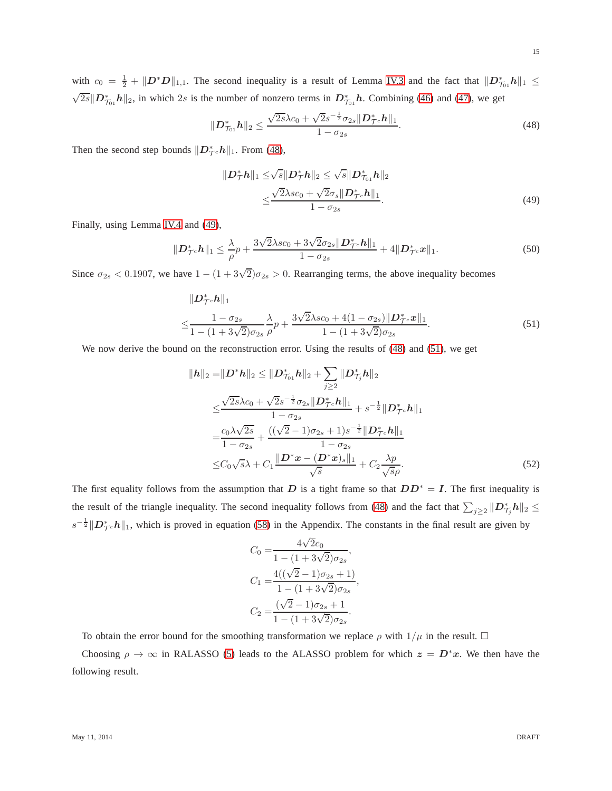with  $c_0 = \frac{1}{2} + ||D^*D||_{1,1}$ . The second inequality is a result of Lemma [IV.3](#page-13-1) and the fact that  $||D^*_{\mathcal{T}_{01}}h||_1 \le$  $\sqrt{2s}$   $||D_{\tau_{01}}^* h||_2$ , in which 2s is the number of nonzero terms in  $D_{\tau_{01}}^* h$ . Combining [\(46\)](#page-13-2) and [\(47\)](#page-13-3), we get

<span id="page-14-0"></span>
$$
\|\mathbf{D}_{\mathcal{T}_{01}}^* \mathbf{h}\|_2 \le \frac{\sqrt{2s}\lambda c_0 + \sqrt{2s^{-\frac{1}{2}}\sigma_{2s} \|\mathbf{D}_{\mathcal{T}^c}^* \mathbf{h}\|_1}}{1 - \sigma_{2s}}.
$$
\n(48)

Then the second step bounds  $||D^*_{\mathcal{T}} c h||_1$ . From [\(48\)](#page-14-0),

$$
||D_{\mathcal{T}}^{*}h||_{1} \leq \sqrt{s}||D_{\mathcal{T}}^{*}h||_{2} \leq \sqrt{s}||D_{\mathcal{T}_{01}}^{*}h||_{2}
$$
  
 
$$
\leq \frac{\sqrt{2}\lambda sc_{0} + \sqrt{2}\sigma_{s}||D_{\mathcal{T}c}^{*}h||_{1}}{1 - \sigma_{2s}}.
$$
 (49)

Finally, using Lemma [IV.4](#page-13-4) and [\(49\)](#page-14-1),

$$
\|\mathbf{D}_{\mathcal{T}^c}^* \mathbf{h}\|_1 \leq \frac{\lambda}{\rho} p + \frac{3\sqrt{2}\lambda sc_0 + 3\sqrt{2}\sigma_{2s} \|\mathbf{D}_{\mathcal{T}^c}^* \mathbf{h}\|_1}{1 - \sigma_{2s}} + 4\|\mathbf{D}_{\mathcal{T}^c}^* \mathbf{x}\|_1. \tag{50}
$$

Since  $\sigma_{2s} < 0.1907$ , we have  $1 - (1 + 3\sqrt{2})\sigma_{2s} > 0$ . Rearranging terms, the above inequality becomes

$$
\|D_{\mathcal{T}^c}^* h\|_1
$$
  
\n
$$
\leq \frac{1 - \sigma_{2s}}{1 - (1 + 3\sqrt{2})\sigma_{2s}} \frac{\lambda}{\rho} p + \frac{3\sqrt{2}\lambda sc_0 + 4(1 - \sigma_{2s}) \|D_{\mathcal{T}^c}^* \mathbf{x}\|_1}{1 - (1 + 3\sqrt{2})\sigma_{2s}}.
$$
\n(51)

We now derive the bound on the reconstruction error. Using the results of [\(48\)](#page-14-0) and [\(51\)](#page-14-2), we get

$$
||h||_2 = ||D^*h||_2 \le ||D^*_{\mathcal{T}_{01}}h||_2 + \sum_{j\geq 2} ||D^*_{\mathcal{T}_j}h||_2
$$
  
\n
$$
\leq \frac{\sqrt{2s}\lambda c_0 + \sqrt{2s^{-\frac{1}{2}}\sigma_{2s}}||D^*_{\mathcal{T}^c}h||_1}{1 - \sigma_{2s}} + \frac{((\sqrt{2}-1)\sigma_{2s} + 1)s^{-\frac{1}{2}}||D^*_{\mathcal{T}^c}h||_1}{1 - \sigma_{2s}}
$$
  
\n
$$
\leq C_0\sqrt{s}\lambda + C_1 \frac{||D^*x - (D^*x)_s||_1}{\sqrt{s}} + C_2 \frac{\lambda p}{\sqrt{s}}.
$$
 (52)

The first equality follows from the assumption that D is a tight frame so that  $DD^* = I$ . The first inequality is the result of the triangle inequality. The second inequality follows from [\(48\)](#page-14-0) and the fact that  $\sum_{j\geq 2} ||D_{\mathcal{T}_j}^* h||_2 \leq$  $s^{-\frac{1}{2}} \|D_{\mathcal{T}^c}^* h\|_1$ , which is proved in equation [\(58\)](#page-21-0) in the Appendix. The constants in the final result are given by

$$
C_0 = \frac{4\sqrt{2}c_0}{1 - (1 + 3\sqrt{2})\sigma_{2s}},
$$
  
\n
$$
C_1 = \frac{4((\sqrt{2} - 1)\sigma_{2s} + 1)}{1 - (1 + 3\sqrt{2})\sigma_{2s}},
$$
  
\n
$$
C_2 = \frac{(\sqrt{2} - 1)\sigma_{2s} + 1}{1 - (1 + 3\sqrt{2})\sigma_{2s}}.
$$

To obtain the error bound for the smoothing transformation we replace  $\rho$  with  $1/\mu$  in the result.  $\Box$ 

Choosing  $\rho \to \infty$  in RALASSO [\(5\)](#page-2-0) leads to the ALASSO problem for which  $z = D^*x$ . We then have the following result.

<span id="page-14-2"></span><span id="page-14-1"></span>15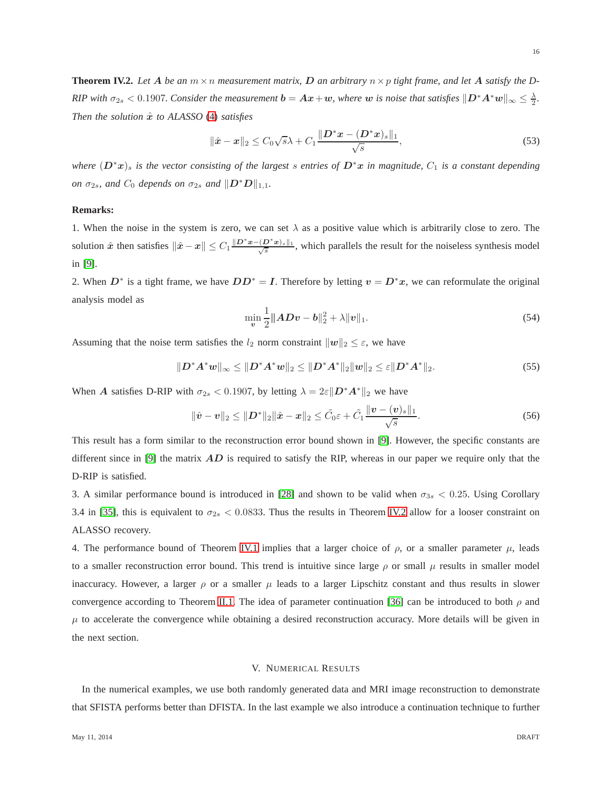<span id="page-15-1"></span>**Theorem IV.2.** Let A be an  $m \times n$  measurement matrix, D an arbitrary  $n \times p$  tight frame, and let A satisfy the D-*RIP* with  $\sigma_{2s} < 0.1907$ . Consider the measurement  $b = Ax + w$ , where w is noise that satisfies  $\|D^*A^*w\|_{\infty} \leq \frac{\lambda}{2}$ . *Then the solution*  $\hat{x}$  *to ALASSO* [\(4\)](#page-1-1) *satisfies* 

$$
\|\hat{\boldsymbol{x}}-\boldsymbol{x}\|_2 \le C_0\sqrt{s}\lambda + C_1 \frac{\|\boldsymbol{D}^*\boldsymbol{x} - (\boldsymbol{D}^*\boldsymbol{x})_s\|_1}{\sqrt{s}},\tag{53}
$$

*where*  $(D^*x)_s$  *is the vector consisting of the largest s entries of*  $D^*x$  *in magnitude,*  $C_1$  *is a constant depending on*  $\sigma_{2s}$ *, and*  $C_0$  *depends on*  $\sigma_{2s}$  *and*  $||D^*D||_{1,1}$ *.* 

#### **Remarks:**

1. When the noise in the system is zero, we can set  $\lambda$  as a positive value which is arbitrarily close to zero. The solution  $\hat{x}$  then satisfies  $\|\hat{x} - x\| \leq C_1 \frac{\|D^*x - (D^*x)_s\|_1}{\sqrt{s}}$ , which parallels the result for the noiseless synthesis model in [\[9\]](#page-24-6).

2. When  $D^*$  is a tight frame, we have  $DD^* = I$ . Therefore by letting  $v = D^*x$ , we can reformulate the original analysis model as

$$
\min_{\mathbf{v}} \frac{1}{2} \|AD\mathbf{v} - \mathbf{b}\|_2^2 + \lambda \|\mathbf{v}\|_1. \tag{54}
$$

Assuming that the noise term satisfies the  $l_2$  norm constraint  $||w||_2 \leq \varepsilon$ , we have

$$
||D^*A^*w||_{\infty} \le ||D^*A^*w||_2 \le ||D^*A^*||_2||w||_2 \le \varepsilon ||D^*A^*||_2.
$$
\n(55)

When A satisfies D-RIP with  $\sigma_{2s} < 0.1907$ , by letting  $\lambda = 2\varepsilon ||\mathbf{D}^* \mathbf{A}^*||_2$  we have

$$
\|\hat{\bm{v}} - \bm{v}\|_2 \leq \|\bm{D}^*\|_2 \|\hat{\bm{x}} - \bm{x}\|_2 \leq \tilde{C}_0 \varepsilon + \tilde{C}_1 \frac{\|\bm{v} - (\bm{v})_s\|_1}{\sqrt{s}}.
$$
\n(56)

This result has a form similar to the reconstruction error bound shown in [\[9\]](#page-24-6). However, the specific constants are different since in [\[9\]](#page-24-6) the matrix  $AD$  is required to satisfy the RIP, whereas in our paper we require only that the D-RIP is satisfied.

3. A similar performance bound is introduced in [\[28\]](#page-25-12) and shown to be valid when  $\sigma_{3s} < 0.25$ . Using Corollary 3.4 in [\[35\]](#page-25-19), this is equivalent to  $\sigma_{2s}$  < 0.0833. Thus the results in Theorem [IV.2](#page-15-1) allow for a looser constraint on ALASSO recovery.

4. The performance bound of Theorem [IV.1](#page-13-5) implies that a larger choice of  $\rho$ , or a smaller parameter  $\mu$ , leads to a smaller reconstruction error bound. This trend is intuitive since large  $\rho$  or small  $\mu$  results in smaller model inaccuracy. However, a larger  $\rho$  or a smaller  $\mu$  leads to a larger Lipschitz constant and thus results in slower convergence according to Theorem [II.1.](#page-5-2) The idea of parameter continuation [\[36\]](#page-25-20) can be introduced to both  $\rho$  and  $\mu$  to accelerate the convergence while obtaining a desired reconstruction accuracy. More details will be given in the next section.

#### V. NUMERICAL RESULTS

<span id="page-15-0"></span>In the numerical examples, we use both randomly generated data and MRI image reconstruction to demonstrate that SFISTA performs better than DFISTA. In the last example we also introduce a continuation technique to further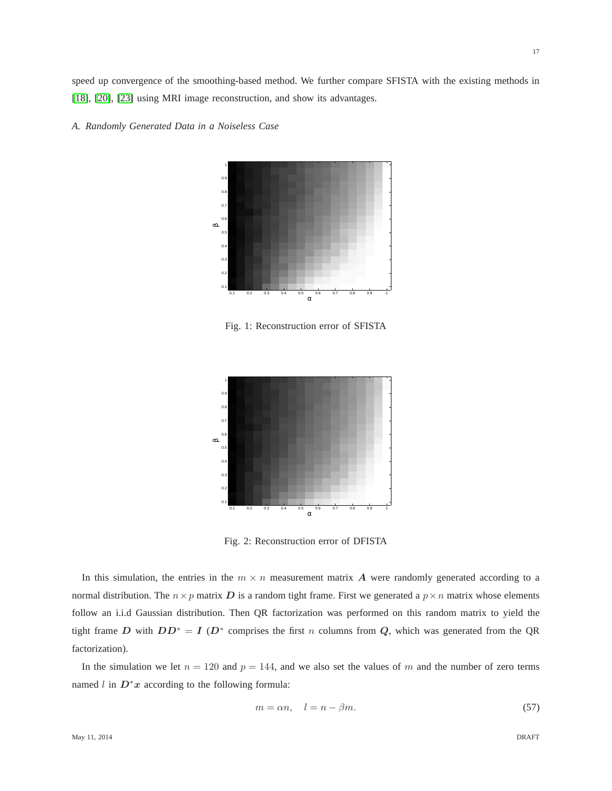speed up convergence of the smoothing-based method. We further compare SFISTA with the existing methods in [\[18\]](#page-25-2), [\[20\]](#page-25-4), [\[23\]](#page-25-7) using MRI image reconstruction, and show its advantages.

<span id="page-16-0"></span>



Fig. 1: Reconstruction error of SFISTA

<span id="page-16-1"></span>

Fig. 2: Reconstruction error of DFISTA

In this simulation, the entries in the  $m \times n$  measurement matrix A were randomly generated according to a normal distribution. The  $n \times p$  matrix D is a random tight frame. First we generated a  $p \times n$  matrix whose elements follow an i.i.d Gaussian distribution. Then QR factorization was performed on this random matrix to yield the tight frame D with  $DD^* = I(D^*$  comprises the first n columns from Q, which was generated from the QR factorization).

In the simulation we let  $n = 120$  and  $p = 144$ , and we also set the values of m and the number of zero terms named l in  $D^*x$  according to the following formula:

$$
m = \alpha n, \quad l = n - \beta m. \tag{57}
$$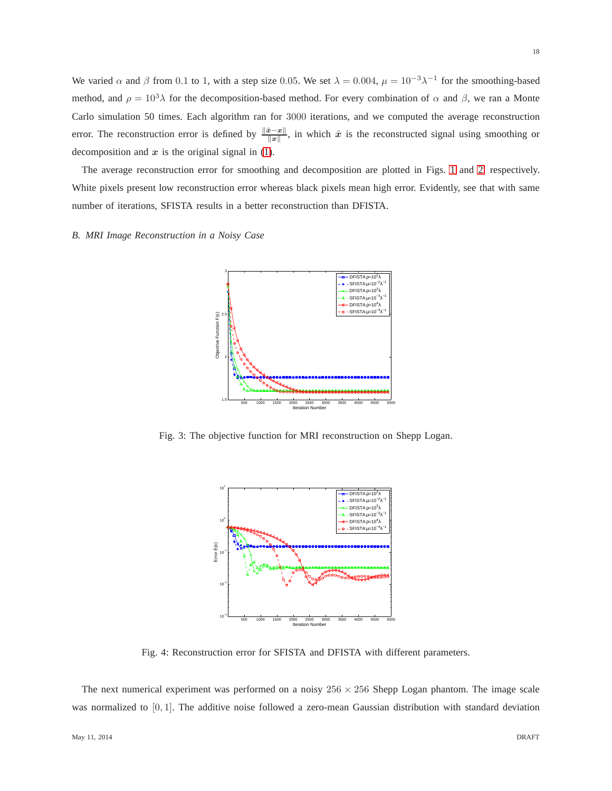We varied  $\alpha$  and  $\beta$  from 0.1 to 1, with a step size 0.05. We set  $\lambda = 0.004$ ,  $\mu = 10^{-3}\lambda^{-1}$  for the smoothing-based method, and  $\rho = 10^3 \lambda$  for the decomposition-based method. For every combination of  $\alpha$  and  $\beta$ , we ran a Monte Carlo simulation 50 times. Each algorithm ran for 3000 iterations, and we computed the average reconstruction error. The reconstruction error is defined by  $\frac{\|\hat{x} - x\|}{\|x\|}$ , in which  $\hat{x}$  is the reconstructed signal using smoothing or decomposition and  $x$  is the original signal in [\(1\)](#page-1-2).

The average reconstruction error for smoothing and decomposition are plotted in Figs. [1](#page-16-0) and [2,](#page-16-1) respectively. White pixels present low reconstruction error whereas black pixels mean high error. Evidently, see that with same number of iterations, SFISTA results in a better reconstruction than DFISTA.

<span id="page-17-0"></span>*B. MRI Image Reconstruction in a Noisy Case*



Fig. 3: The objective function for MRI reconstruction on Shepp Logan.



Fig. 4: Reconstruction error for SFISTA and DFISTA with different parameters.

The next numerical experiment was performed on a noisy  $256 \times 256$  Shepp Logan phantom. The image scale was normalized to [0, 1]. The additive noise followed a zero-mean Gaussian distribution with standard deviation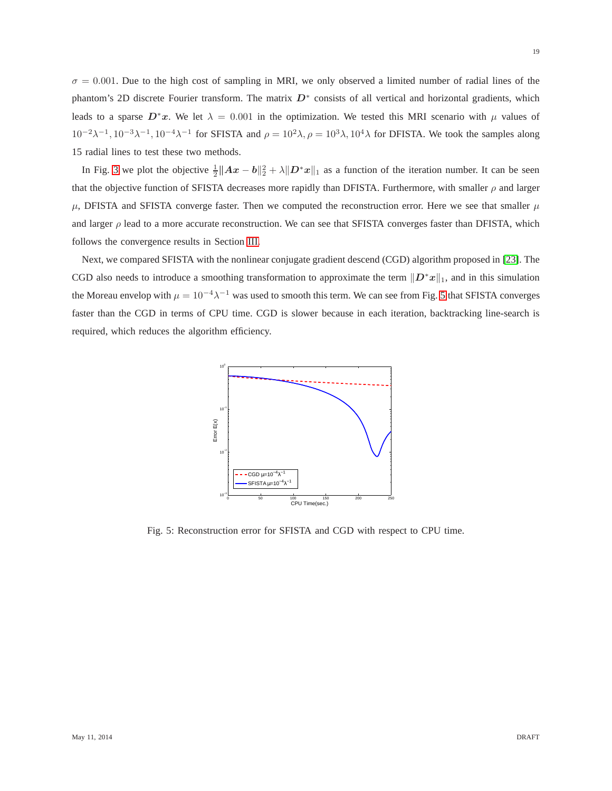$\sigma = 0.001$ . Due to the high cost of sampling in MRI, we only observed a limited number of radial lines of the phantom's 2D discrete Fourier transform. The matrix  $D^*$  consists of all vertical and horizontal gradients, which leads to a sparse  $D^*x$ . We let  $\lambda = 0.001$  in the optimization. We tested this MRI scenario with  $\mu$  values of  $10^{-2} \lambda^{-1}$ ,  $10^{-3} \lambda^{-1}$ ,  $10^{-4} \lambda^{-1}$  for SFISTA and  $\rho = 10^{2} \lambda$ ,  $\rho = 10^{3} \lambda$ ,  $10^{4} \lambda$  for DFISTA. We took the samples along 15 radial lines to test these two methods.

In Fig. [3](#page-17-0) we plot the objective  $\frac{1}{2}||Ax - b||_2^2 + \lambda ||D^*x||_1$  as a function of the iteration number. It can be seen that the objective function of SFISTA decreases more rapidly than DFISTA. Furthermore, with smaller  $\rho$  and larger  $\mu$ , DFISTA and SFISTA converge faster. Then we computed the reconstruction error. Here we see that smaller  $\mu$ and larger  $\rho$  lead to a more accurate reconstruction. We can see that SFISTA converges faster than DFISTA, which follows the convergence results in Section [III.](#page-8-0)

<span id="page-18-0"></span>Next, we compared SFISTA with the nonlinear conjugate gradient descend (CGD) algorithm proposed in [\[23\]](#page-25-7). The CGD also needs to introduce a smoothing transformation to approximate the term  $||D^*x||_1$ , and in this simulation the Moreau envelop with  $\mu = 10^{-4}\lambda^{-1}$  was used to smooth this term. We can see from Fig. [5](#page-18-0) that SFISTA converges faster than the CGD in terms of CPU time. CGD is slower because in each iteration, backtracking line-search is required, which reduces the algorithm efficiency.



Fig. 5: Reconstruction error for SFISTA and CGD with respect to CPU time.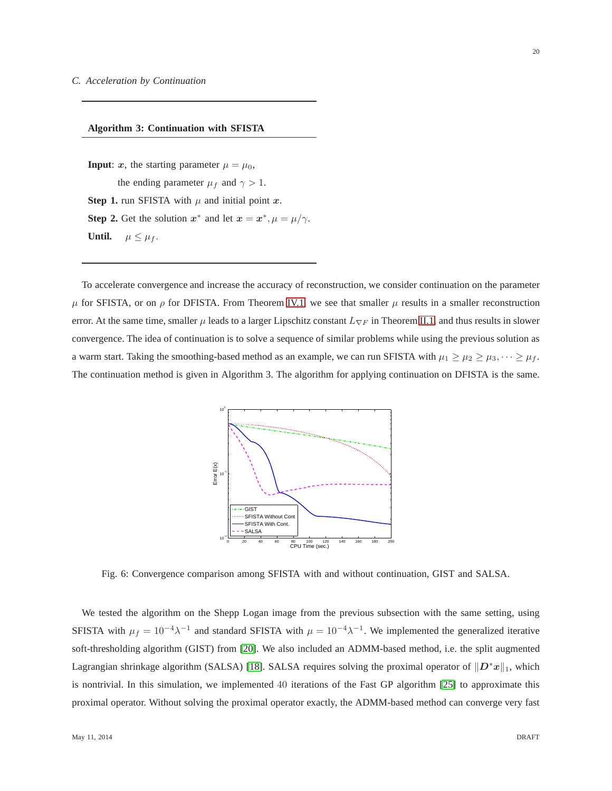## **Algorithm 3: Continuation with SFISTA**

**Input**: x, the starting parameter  $\mu = \mu_0$ , the ending parameter  $\mu_f$  and  $\gamma > 1$ . **Step 1.** run SFISTA with  $\mu$  and initial point  $x$ . **Step 2.** Get the solution  $x^*$  and let  $x = x^*, \mu = \mu/\gamma$ . **Until.**  $\mu \leq \mu_f$ .

<span id="page-19-0"></span>To accelerate convergence and increase the accuracy of reconstruction, we consider continuation on the parameter  $\mu$  for SFISTA, or on  $\rho$  for DFISTA. From Theorem [IV.1,](#page-13-5) we see that smaller  $\mu$  results in a smaller reconstruction error. At the same time, smaller  $\mu$  leads to a larger Lipschitz constant  $L_{\nabla F}$  in Theorem [II.1,](#page-5-2) and thus results in slower convergence. The idea of continuation is to solve a sequence of similar problems while using the previous solution as a warm start. Taking the smoothing-based method as an example, we can run SFISTA with  $\mu_1 \ge \mu_2 \ge \mu_3, \dots \ge \mu_f$ . The continuation method is given in Algorithm 3. The algorithm for applying continuation on DFISTA is the same.



Fig. 6: Convergence comparison among SFISTA with and without continuation, GIST and SALSA.

We tested the algorithm on the Shepp Logan image from the previous subsection with the same setting, using SFISTA with  $\mu_f = 10^{-4}\lambda^{-1}$  and standard SFISTA with  $\mu = 10^{-4}\lambda^{-1}$ . We implemented the generalized iterative soft-thresholding algorithm (GIST) from [\[20\]](#page-25-4). We also included an ADMM-based method, i.e. the split augmented Lagrangian shrinkage algorithm (SALSA) [\[18\]](#page-25-2). SALSA requires solving the proximal operator of  $||D^*x||_1$ , which is nontrivial. In this simulation, we implemented 40 iterations of the Fast GP algorithm [\[25\]](#page-25-9) to approximate this proximal operator. Without solving the proximal operator exactly, the ADMM-based method can converge very fast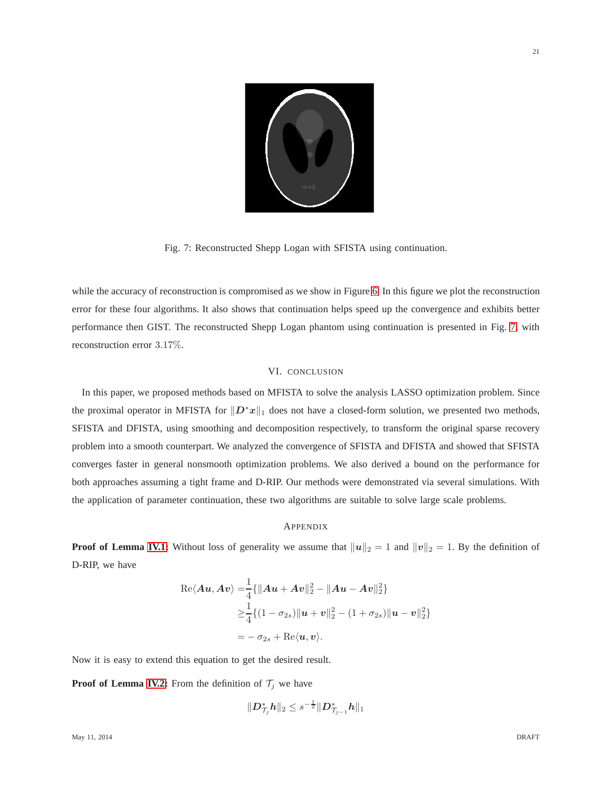<span id="page-20-0"></span>

Fig. 7: Reconstructed Shepp Logan with SFISTA using continuation.

while the accuracy of reconstruction is compromised as we show in Figure [6.](#page-19-0) In this figure we plot the reconstruction error for these four algorithms. It also shows that continuation helps speed up the convergence and exhibits better performance then GIST. The reconstructed Shepp Logan phantom using continuation is presented in Fig. [7,](#page-20-0) with reconstruction error 3.17%.

#### VI. CONCLUSION

In this paper, we proposed methods based on MFISTA to solve the analysis LASSO optimization problem. Since the proximal operator in MFISTA for  $||D^*x||_1$  does not have a closed-form solution, we presented two methods, SFISTA and DFISTA, using smoothing and decomposition respectively, to transform the original sparse recovery problem into a smooth counterpart. We analyzed the convergence of SFISTA and DFISTA and showed that SFISTA converges faster in general nonsmooth optimization problems. We also derived a bound on the performance for both approaches assuming a tight frame and D-RIP. Our methods were demonstrated via several simulations. With the application of parameter continuation, these two algorithms are suitable to solve large scale problems.

#### **APPENDIX**

**Proof of Lemma [IV.1:](#page-12-1)** Without loss of generality we assume that  $||u||_2 = 1$  and  $||v||_2 = 1$ . By the definition of D-RIP, we have

Re
$$
\langle Au, Av \rangle = \frac{1}{4} \{ ||Au + Av||_2^2 - ||Au - Av||_2^2 \}
$$
  
\n
$$
\geq \frac{1}{4} \{ (1 - \sigma_{2s}) ||u + v||_2^2 - (1 + \sigma_{2s}) ||u - v||_2^2 \}
$$
\n
$$
= -\sigma_{2s} + \text{Re}\langle u, v \rangle.
$$

Now it is easy to extend this equation to get the desired result.

**Proof of Lemma [IV.2:](#page-13-0)** From the definition of  $\mathcal{T}_j$  we have

$$
\|\bm{D}_{\mathcal{T}_j}^*\bm{h}\|_2 \leq s^{-\frac{1}{2}}\|\bm{D}_{\mathcal{T}_{j-1}}^*\bm{h}\|_1
$$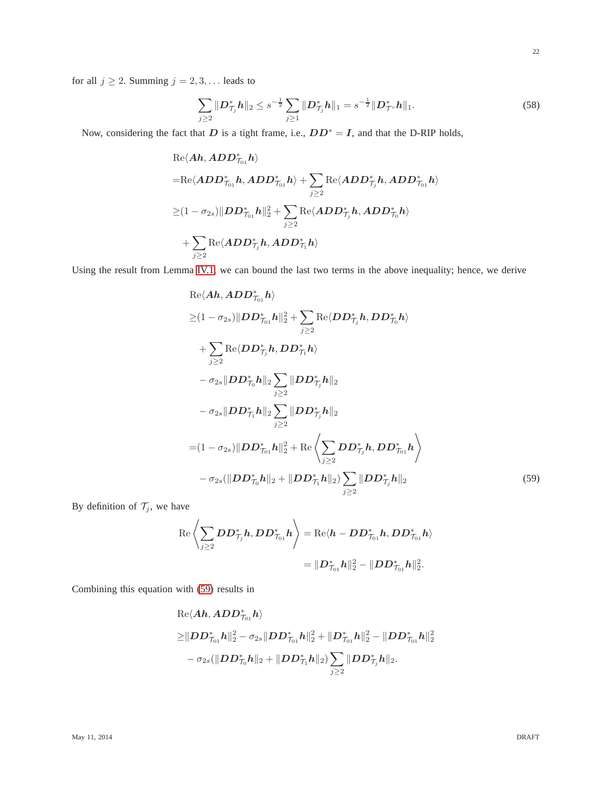for all  $j \ge 2$ . Summing  $j = 2, 3, \dots$  leads to

<span id="page-21-0"></span>
$$
\sum_{j\geq 2} \|\mathbf{D}_{\mathcal{T}_j}^* \mathbf{h}\|_2 \leq s^{-\frac{1}{2}} \sum_{j\geq 1} \|\mathbf{D}_{\mathcal{T}_j}^* \mathbf{h}\|_1 = s^{-\frac{1}{2}} \|\mathbf{D}_{\mathcal{T}^c}^* \mathbf{h}\|_1.
$$
 (58)

Now, considering the fact that D is a tight frame, i.e.,  $DD^* = I$ , and that the D-RIP holds,

$$
\begin{aligned} &\text{Re}\langle \bm{Ah}, \bm{ADD}_{\mathcal{T}_01}^* \bm{h}\rangle\\ =&\text{Re}\langle \bm{ADD}_{\mathcal{T}_01}^* \bm{h}, \bm{ADD}_{\mathcal{T}_01}^* \bm{h}\rangle + \sum_{j\geq 2}\text{Re}\langle \bm{ADD}_{\mathcal{T}_j}^* \bm{h}, \bm{ADD}_{\mathcal{T}_01}^* \bm{h}\rangle\\ \geq& (1-\sigma_{2s})\|\bm{DD}_{\mathcal{T}_{01}}^* \bm{h}\|_2^2 + \sum_{j\geq 2}\text{Re}\langle \bm{ADD}_{\mathcal{T}_j}^* \bm{h}, \bm{ADD}_{\mathcal{T}_0}^* \bm{h}\rangle\\ &+\sum_{j\geq 2}\text{Re}\langle \bm{ADD}_{\mathcal{T}_j}^* \bm{h}, \bm{ADD}_{\mathcal{T}_1}^* \bm{h}\rangle\end{aligned}
$$

Using the result from Lemma [IV.1,](#page-12-1) we can bound the last two terms in the above inequality; hence, we derive

Re
$$
\langle Ah, ADD_{\tau_{01}}^{*}h \rangle
$$
  
\n $\geq (1 - \sigma_{2s}) ||DD_{\tau_{01}}^{*}h||_{2}^{2} + \sum_{j\geq 2} \text{Re}\langle DD_{\tau_{j}}^{*}h, DD_{\tau_{0}}^{*}h \rangle$   
\n $+ \sum_{j\geq 2} \text{Re}\langle DD_{\tau_{j}}^{*}h, DD_{\tau_{1}}^{*}h \rangle$   
\n $- \sigma_{2s} ||DD_{\tau_{0}}^{*}h||_{2} \sum_{j\geq 2} ||DD_{\tau_{j}}^{*}h||_{2}$   
\n $- \sigma_{2s} ||DD_{\tau_{1}}^{*}h||_{2} \sum_{j\geq 2} ||DD_{\tau_{j}}^{*}h||_{2}$   
\n $= (1 - \sigma_{2s}) ||DD_{\tau_{01}}^{*}h||_{2}^{2} + \text{Re}\langle \sum_{j\geq 2} DD_{\tau_{j}}^{*}h, DD_{\tau_{01}}^{*}h \rangle$   
\n $- \sigma_{2s} (||DD_{\tau_{0}}^{*}h||_{2} + ||DD_{\tau_{1}}^{*}h||_{2}) \sum_{j\geq 2} ||DD_{\tau_{j}}^{*}h||_{2}$  (59)

By definition of  $\mathcal{T}_j$ , we have

<span id="page-21-1"></span>
$$
\begin{aligned} \operatorname{Re} \left\langle \sum_{j \geq 2} D D_{\mathcal{T}_j}^* h , D D_{\mathcal{T}_{01}}^* h \right\rangle & = \operatorname{Re} \langle h - D D_{\mathcal{T}_{01}}^* h , D D_{\mathcal{T}_{01}}^* h \rangle \\ & = \| D_{\mathcal{T}_{01}}^* h \|_2^2 - \| D D_{\mathcal{T}_{01}}^* h \|_2^2. \end{aligned}
$$

Combining this equation with [\(59\)](#page-21-1) results in

$$
\begin{aligned} & {\rm Re}\langle \bm{A}\bm{h}, \bm{A}\bm{D}\bm{D}^*_{\mathcal{T}_{01}}\bm{h}\rangle \\ \geq& \| \bm{D}\bm{D}^*_{\mathcal{T}_{01}}\bm{h}\|_2^2 - \sigma_{2s}\|\bm{D}\bm{D}^*_{\mathcal{T}_{01}}\bm{h}\|_2^2 + \|\bm{D}^*_{\mathcal{T}_{01}}\bm{h}\|_2^2 - \|\bm{D}\bm{D}^*_{\mathcal{T}_{01}}\bm{h}\|_2^2 \\ &- \sigma_{2s}(\|\bm{D}\bm{D}^*_{\mathcal{T}_{0}}\bm{h}\|_2 + \|\bm{D}\bm{D}^*_{\mathcal{T}_{1}}\bm{h}\|_2) \sum_{j\geq 2}\|\bm{D}\bm{D}^*_{\mathcal{T}_{j}}\bm{h}\|_2. \end{aligned}
$$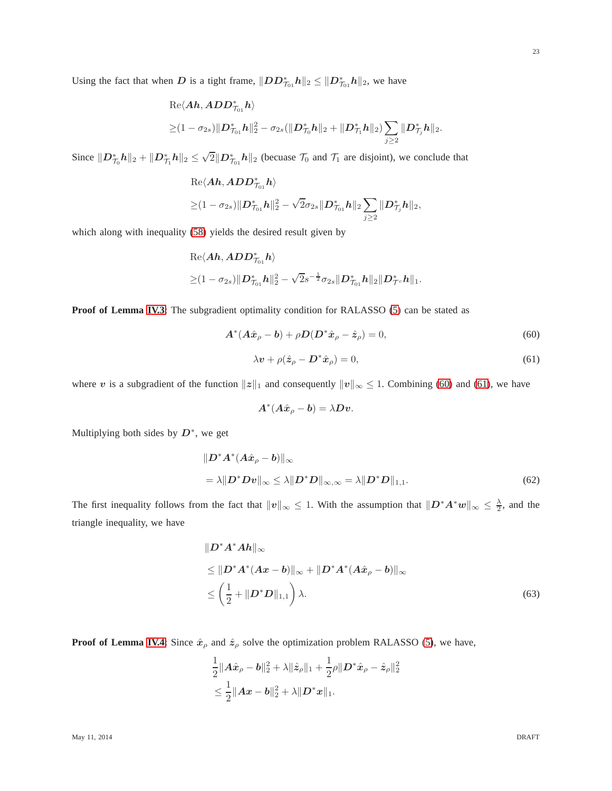23

Using the fact that when D is a tight frame,  $||DD^*_{\mathcal{T}_{01}}h||_2 \leq ||D^*_{\mathcal{T}_{01}}h||_2$ , we have

Re
$$
\langle Ah, ADD_{\tau_{01}}^*h \rangle
$$
  
\n $\geq (1 - \sigma_{2s}) ||D_{\tau_{01}}^*h||_2^2 - \sigma_{2s} (||D_{\tau_0}^*h||_2 + ||D_{\tau_1}^*h||_2) \sum_{j \geq 2} ||D_{\tau_j}^*h||_2.$ 

Since  $||D_{\tau_0}^* h||_2 + ||D_{\tau_1}^* h||_2 \le \sqrt{2} ||D_{\tau_{01}}^* h||_2$  (becuase  $\mathcal{T}_0$  and  $\mathcal{T}_1$  are disjoint), we conclude that

$$
\begin{aligned} &\text{Re}\langle \bm{Ah}, \bm{ADD}_{\mathcal{T}_{01}}^* \bm{h}\rangle\\ &\geq& (1-\sigma_{2s})\|\bm{D}_{\mathcal{T}_{01}}^*\bm{h}\|_2^2-\sqrt{2}\sigma_{2s}\|\bm{D}_{\mathcal{T}_{01}}^*\bm{h}\|_2\sum_{j\geq2}\|\bm{D}_{\mathcal{T}_j}^*\bm{h}\|_2, \end{aligned}
$$

which along with inequality [\(58\)](#page-21-0) yields the desired result given by

Re
$$
\langle Ah, ADD_{\tau_{01}}^*h \rangle
$$
  
\n $\geq (1 - \sigma_{2s}) ||D_{\tau_{01}}^*h||_2^2 - \sqrt{2}s^{-\frac{1}{2}}\sigma_{2s} ||D_{\tau_{01}}^*h||_2 ||D_{\mathcal{T}^c}^*h||_1.$ 

**Proof of Lemma [IV.3](#page-13-1)**: The subgradient optimality condition for RALASSO [\(5\)](#page-2-0) can be stated as

<span id="page-22-0"></span>
$$
\mathbf{A}^*(\mathbf{A}\hat{\mathbf{x}}_\rho - \mathbf{b}) + \rho \mathbf{D}(\mathbf{D}^*\hat{\mathbf{x}}_\rho - \hat{\mathbf{z}}_\rho) = 0,\tag{60}
$$

<span id="page-22-1"></span>
$$
\lambda \mathbf{v} + \rho (\hat{\mathbf{z}}_{\rho} - \mathbf{D}^* \hat{\mathbf{x}}_{\rho}) = 0, \tag{61}
$$

where v is a subgradient of the function  $||z||_1$  and consequently  $||v||_{\infty} \leq 1$ . Combining [\(60\)](#page-22-0) and [\(61\)](#page-22-1), we have

$$
\boldsymbol{A}^*(\boldsymbol{A}\hat{\boldsymbol{x}}_{\rho}-\boldsymbol{b})=\lambda \boldsymbol{D}\boldsymbol{v}.
$$

Multiplying both sides by  $D^*$ , we get

$$
||D^*A^*(A\hat{x}_\rho - b)||_\infty
$$
  
=  $\lambda ||D^*Dv||_\infty \le \lambda ||D^*D||_\infty$ ,  $\infty = \lambda ||D^*D||_{1,1}$ . (62)

The first inequality follows from the fact that  $||v||_{\infty} \leq 1$ . With the assumption that  $||D^*A^*w||_{\infty} \leq \frac{\lambda}{2}$ , and the triangle inequality, we have

$$
\|D^*A^*Ah\|_{\infty}
$$
  
\n
$$
\leq \|D^*A^*(Ax-b)\|_{\infty} + \|D^*A^*(A\hat{x}_{\rho} - b)\|_{\infty}
$$
  
\n
$$
\leq \left(\frac{1}{2} + \|D^*D\|_{1,1}\right)\lambda.
$$
\n(63)

**Proof of Lemma [IV.4](#page-13-4)**: Since  $\hat{x}_\rho$  and  $\hat{z}_\rho$  solve the optimization problem RALASSO [\(5\)](#page-2-0), we have,

$$
\begin{aligned} &\frac{1}{2}\|\boldsymbol{A}\hat{\boldsymbol{x}}_{\rho}-\boldsymbol{b}\|_{2}^{2}+\lambda\|\hat{\boldsymbol{z}}_{\rho}\|_{1}+\frac{1}{2}\rho\|\boldsymbol{D}^{*}\hat{\boldsymbol{x}}_{\rho}-\hat{\boldsymbol{z}}_{\rho}\|_{2}^{2}\\ &\leq\frac{1}{2}\|\boldsymbol{A}\boldsymbol{x}-\boldsymbol{b}\|_{2}^{2}+\lambda\|\boldsymbol{D}^{*}\boldsymbol{x}\|_{1}.\end{aligned}
$$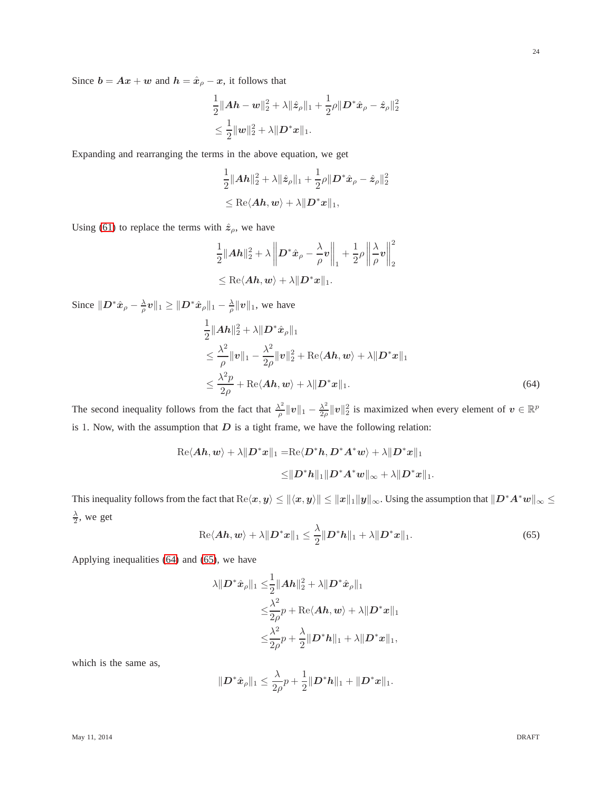Since  $b = Ax + w$  and  $h = \hat{x}_{\rho} - x$ , it follows that

$$
\begin{aligned} &\frac{1}{2}\|\bm{A}\bm{h}-\bm{w}\|_2^2+\lambda\|\hat{\bm{z}}_\rho\|_1+\frac{1}{2}\rho\|\bm{D}^*\hat{\bm{x}}_\rho-\hat{\bm{z}}_\rho\|_2^2\\ &\leq \frac{1}{2}\|\bm{w}\|_2^2+\lambda\|\bm{D}^*\bm{x}\|_1. \end{aligned}
$$

Expanding and rearranging the terms in the above equation, we get

$$
\begin{aligned}&\frac{1}{2}\|Ah\|_2^2+\lambda\|\hat{\boldsymbol{z}}_\rho\|_1+\frac{1}{2}\rho\|\boldsymbol{D}^*\hat{\boldsymbol{x}}_\rho-\hat{\boldsymbol{z}}_\rho\|_2^2\\&\leq\text{Re}\langle Ah,\boldsymbol{w}\rangle+\lambda\|\boldsymbol{D}^*\boldsymbol{x}\|_1,\end{aligned}
$$

Using [\(61\)](#page-22-1) to replace the terms with  $\hat{z}_\rho$ , we have

$$
\begin{aligned} &\frac{1}{2}\|\boldsymbol{A}\boldsymbol{h}\|_2^2+\lambda\left\|\boldsymbol{D}^*\hat{\boldsymbol{x}}_{\rho}-\frac{\lambda}{\rho}\boldsymbol{v}\right\|_1+\frac{1}{2}\rho\left\|\frac{\lambda}{\rho}\boldsymbol{v}\right\|_2^2\\ &\leq\text{Re}\langle\boldsymbol{A}\boldsymbol{h},\boldsymbol{w}\rangle+\lambda\|\boldsymbol{D}^*\boldsymbol{x}\|_1. \end{aligned}
$$

Since  $||D^*\hat{x}_{\rho} - \frac{\lambda}{\rho}v||_1 \ge ||D^*\hat{x}_{\rho}||_1 - \frac{\lambda}{\rho}||v||_1$ , we have

<span id="page-23-0"></span>
$$
\frac{1}{2}||A h||_2^2 + \lambda ||D^* \hat{x}_\rho||_1
$$
\n
$$
\leq \frac{\lambda^2}{\rho} ||v||_1 - \frac{\lambda^2}{2\rho} ||v||_2^2 + \text{Re}\langle Ah, w \rangle + \lambda ||D^* x||_1
$$
\n
$$
\leq \frac{\lambda^2 p}{2\rho} + \text{Re}\langle Ah, w \rangle + \lambda ||D^* x||_1.
$$
\n(64)

The second inequality follows from the fact that  $\frac{\lambda^2}{2}$  $\frac{\lambda^2}{\rho} \| \bm{v} \|_1 - \frac{\lambda^2}{2\rho}$  $\frac{\lambda^2}{2\rho} ||v||_2^2$  is maximized when every element of  $v \in \mathbb{R}^p$ is 1. Now, with the assumption that  $D$  is a tight frame, we have the following relation:

$$
\operatorname{Re}\langle Ah, w \rangle + \lambda \|D^*x\|_1 = \operatorname{Re}\langle D^*h, D^*A^*w \rangle + \lambda \|D^*x\|_1
$$
  

$$
\leq \|D^*h\|_1 \|D^*A^*w\|_{\infty} + \lambda \|D^*x\|_1.
$$

This inequality follows from the fact that  $Re\langle x, y \rangle \le ||\langle x, y \rangle|| \le ||x||_1 ||y||_{\infty}$ . Using the assumption that  $||D^*A^*w||_{\infty} \le ||\langle x, y \rangle||$  $\frac{\lambda}{2}$ , we get

<span id="page-23-1"></span>
$$
\operatorname{Re}\langle\boldsymbol{A}\boldsymbol{h},\boldsymbol{w}\rangle+\lambda\|\boldsymbol{D}^*\boldsymbol{x}\|_1\leq \frac{\lambda}{2}\|\boldsymbol{D}^*\boldsymbol{h}\|_1+\lambda\|\boldsymbol{D}^*\boldsymbol{x}\|_1.
$$
\n(65)

Applying inequalities [\(64\)](#page-23-0) and [\(65\)](#page-23-1), we have

$$
\begin{aligned} \lambda\|D^*\hat{\boldsymbol{x}}_\rho\|_1\leq &\frac{1}{2}\|\boldsymbol{A}\boldsymbol{h}\|_2^2+\lambda\|\boldsymbol{D}^*\hat{\boldsymbol{x}}_\rho\|_1\\ \leq&\frac{\lambda^2}{2\rho}p+\text{Re}\langle \boldsymbol{A}\boldsymbol{h},\boldsymbol{w}\rangle+\lambda\|\boldsymbol{D}^*\boldsymbol{x}\|_1\\ \leq&\frac{\lambda^2}{2\rho}p+\frac{\lambda}{2}\|\boldsymbol{D}^*\boldsymbol{h}\|_1+\lambda\|\boldsymbol{D}^*\boldsymbol{x}\|_1,\end{aligned}
$$

which is the same as,

$$
||D^*\hat{x}_{\rho}||_1 \leq \frac{\lambda}{2\rho}p + \frac{1}{2}||D^*h||_1 + ||D^*x||_1.
$$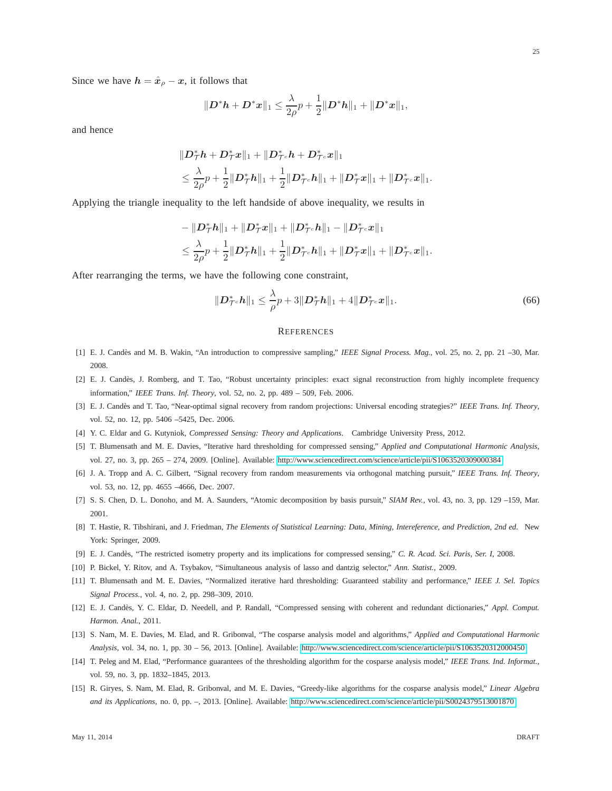Since we have  $h = \hat{x}_{\rho} - x$ , it follows that

$$
||D^*h + D^*x||_1 \leq \frac{\lambda}{2\rho}p + \frac{1}{2}||D^*h||_1 + ||D^*x||_1,
$$

and hence

$$
\begin{aligned} &\|D_{\mathcal{T}}^*h+D_{\mathcal{T}}^*x\|_1+\|D_{\mathcal{T}^c}^*h+D_{\mathcal{T}^c}^*x\|_1\\ &\leq \frac{\lambda}{2\rho}p+\frac{1}{2}\|D_{\mathcal{T}}^*h\|_1+\frac{1}{2}\|D_{\mathcal{T}^c}^*h\|_1+\|D_{\mathcal{T}}^*x\|_1+\|D_{\mathcal{T}^c}^*x\|_1. \end{aligned}
$$

Applying the triangle inequality to the left handside of above inequality, we results in

$$
\begin{aligned}&-\|\bm{D}_{\mathcal{T}}^* \bm{h}\|_1+\|\bm{D}_{\mathcal{T}}^* \bm{x}\|_1+\|\bm{D}_{\mathcal{T}^c}^* \bm{h}\|_1-\|\bm{D}_{\mathcal{T}^c}^* \bm{x}\|_1\\&\leq \frac{\lambda}{2\rho}p+\frac{1}{2}\|\bm{D}_{\mathcal{T}}^* \bm{h}\|_1+\frac{1}{2}\|\bm{D}_{\mathcal{T}^c}^* \bm{h}\|_1+\|\bm{D}_{\mathcal{T}}^* \bm{x}\|_1+\|\bm{D}_{\mathcal{T}^c}^* \bm{x}\|_1.\end{aligned}
$$

After rearranging the terms, we have the following cone constraint,

$$
\|\mathbf{D}_{\mathcal{T}^c}^* \mathbf{h}\|_1 \leq \frac{\lambda}{\rho} p + 3\|\mathbf{D}_{\mathcal{T}}^* \mathbf{h}\|_1 + 4\|\mathbf{D}_{\mathcal{T}^c}^* \mathbf{x}\|_1. \tag{66}
$$

#### **REFERENCES**

- <span id="page-24-0"></span>[1] E. J. Cand`es and M. B. Wakin, "An introduction to compressive sampling," *IEEE Signal Process. Mag.*, vol. 25, no. 2, pp. 21 –30, Mar. 2008.
- [2] E. J. Candès, J. Romberg, and T. Tao, "Robust uncertainty principles: exact signal reconstruction from highly incomplete frequency information," *IEEE Trans. Inf. Theory*, vol. 52, no. 2, pp. 489 – 509, Feb. 2006.
- <span id="page-24-1"></span>[3] E. J. Cand`es and T. Tao, "Near-optimal signal recovery from random projections: Universal encoding strategies?" *IEEE Trans. Inf. Theory*, vol. 52, no. 12, pp. 5406 –5425, Dec. 2006.
- <span id="page-24-2"></span>[4] Y. C. Eldar and G. Kutyniok, *Compressed Sensing: Theory and Applications*. Cambridge University Press, 2012.
- <span id="page-24-3"></span>[5] T. Blumensath and M. E. Davies, "Iterative hard thresholding for compressed sensing," *Applied and Computational Harmonic Analysis*, vol. 27, no. 3, pp. 265 – 274, 2009. [Online]. Available:<http://www.sciencedirect.com/science/article/pii/S1063520309000384>
- <span id="page-24-4"></span>[6] J. A. Tropp and A. C. Gilbert, "Signal recovery from random measurements via orthogonal matching pursuit," *IEEE Trans. Inf. Theory*, vol. 53, no. 12, pp. 4655 –4666, Dec. 2007.
- <span id="page-24-5"></span>[7] S. S. Chen, D. L. Donoho, and M. A. Saunders, "Atomic decomposition by basis pursuit," *SIAM Rev.*, vol. 43, no. 3, pp. 129 –159, Mar. 2001.
- <span id="page-24-6"></span>[8] T. Hastie, R. Tibshirani, and J. Friedman, *The Elements of Statistical Learning: Data, Mining, Intereference, and Prediction, 2nd ed*. New York: Springer, 2009.
- [9] E. J. Cand`es, "The restricted isometry property and its implications for compressed sensing," *C. R. Acad. Sci. Paris, Ser. I*, 2008.
- <span id="page-24-7"></span>[10] P. Bickel, Y. Ritov, and A. Tsybakov, "Simultaneous analysis of lasso and dantzig selector," *Ann. Statist.*, 2009.
- <span id="page-24-8"></span>[11] T. Blumensath and M. E. Davies, "Normalized iterative hard thresholding: Guaranteed stability and performance," *IEEE J. Sel. Topics Signal Process.*, vol. 4, no. 2, pp. 298–309, 2010.
- <span id="page-24-9"></span>[12] E. J. Cand`es, Y. C. Eldar, D. Needell, and P. Randall, "Compressed sensing with coherent and redundant dictionaries," *Appl. Comput. Harmon. Anal.*, 2011.
- <span id="page-24-10"></span>[13] S. Nam, M. E. Davies, M. Elad, and R. Gribonval, "The cosparse analysis model and algorithms," *Applied and Computational Harmonic Analysis*, vol. 34, no. 1, pp. 30 – 56, 2013. [Online]. Available:<http://www.sciencedirect.com/science/article/pii/S1063520312000450>
- <span id="page-24-11"></span>[14] T. Peleg and M. Elad, "Performance guarantees of the thresholding algorithm for the cosparse analysis model," *IEEE Trans. Ind. Informat.*, vol. 59, no. 3, pp. 1832–1845, 2013.
- [15] R. Giryes, S. Nam, M. Elad, R. Gribonval, and M. E. Davies, "Greedy-like algorithms for the cosparse analysis model," *Linear Algebra and its Applications*, no. 0, pp. –, 2013. [Online]. Available:<http://www.sciencedirect.com/science/article/pii/S0024379513001870>